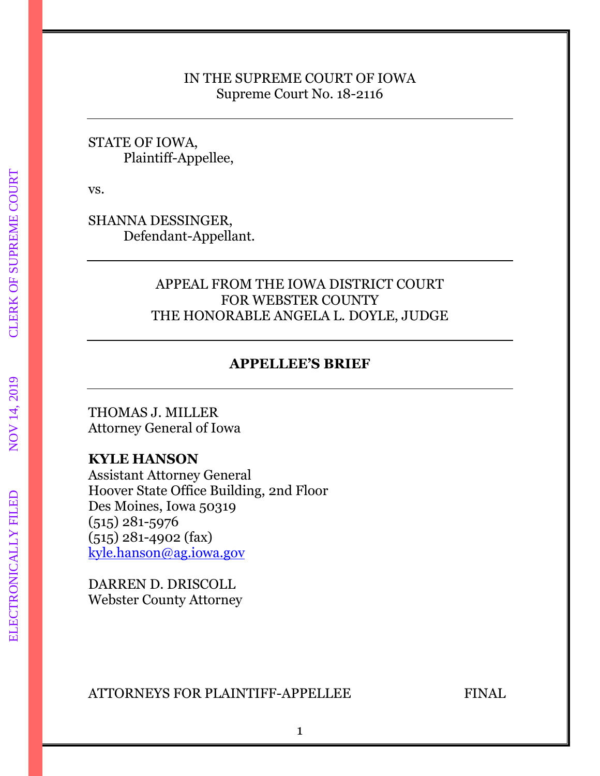### IN THE SUPREME COURT OF IOWA Supreme Court No. 18-2116

### STATE OF IOWA, Plaintiff-Appellee,

vs.

SHANNA DESSINGER, Defendant-Appellant.

### APPEAL FROM THE IOWA DISTRICT COURT FOR WEBSTER COUNTY THE HONORABLE ANGELA L. DOYLE, JUDGE

# **APPELLEE'S BRIEF**

THOMAS J. MILLER Attorney General of Iowa

### **KYLE HANSON**

Assistant Attorney General Hoover State Office Building, 2nd Floor Des Moines, Iowa 50319 (515) 281-5976 (515) 281-4902 (fax) [kyle.hanson@ag.iowa.gov](mailto:kyle.hanson@ag.iowa.gov)

DARREN D. DRISCOLL Webster County Attorney

ATTORNEYS FOR PLAINTIFF-APPELLEE FINAL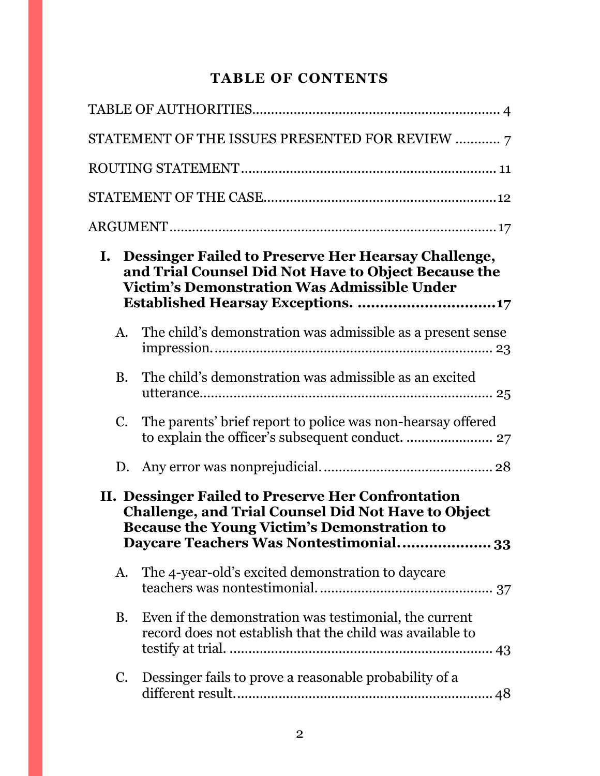# **TABLE OF CONTENTS**

|                                                                                                                                                                                                                  | STATEMENT OF THE ISSUES PRESENTED FOR REVIEW  7                                                                     |  |  |
|------------------------------------------------------------------------------------------------------------------------------------------------------------------------------------------------------------------|---------------------------------------------------------------------------------------------------------------------|--|--|
|                                                                                                                                                                                                                  |                                                                                                                     |  |  |
|                                                                                                                                                                                                                  |                                                                                                                     |  |  |
|                                                                                                                                                                                                                  |                                                                                                                     |  |  |
| Dessinger Failed to Preserve Her Hearsay Challenge,<br>Ι.<br>and Trial Counsel Did Not Have to Object Because the<br><b>Victim's Demonstration Was Admissible Under</b>                                          |                                                                                                                     |  |  |
| A.                                                                                                                                                                                                               | The child's demonstration was admissible as a present sense                                                         |  |  |
| <b>B.</b>                                                                                                                                                                                                        | The child's demonstration was admissible as an excited                                                              |  |  |
| C.                                                                                                                                                                                                               | The parents' brief report to police was non-hearsay offered                                                         |  |  |
|                                                                                                                                                                                                                  |                                                                                                                     |  |  |
| II. Dessinger Failed to Preserve Her Confrontation<br><b>Challenge, and Trial Counsel Did Not Have to Object</b><br><b>Because the Young Victim's Demonstration to</b><br>Daycare Teachers Was Nontestimonial 33 |                                                                                                                     |  |  |
| A.                                                                                                                                                                                                               | The 4-year-old's excited demonstration to daycare                                                                   |  |  |
| <b>B.</b>                                                                                                                                                                                                        | Even if the demonstration was testimonial, the current<br>record does not establish that the child was available to |  |  |
| C.                                                                                                                                                                                                               | Dessinger fails to prove a reasonable probability of a                                                              |  |  |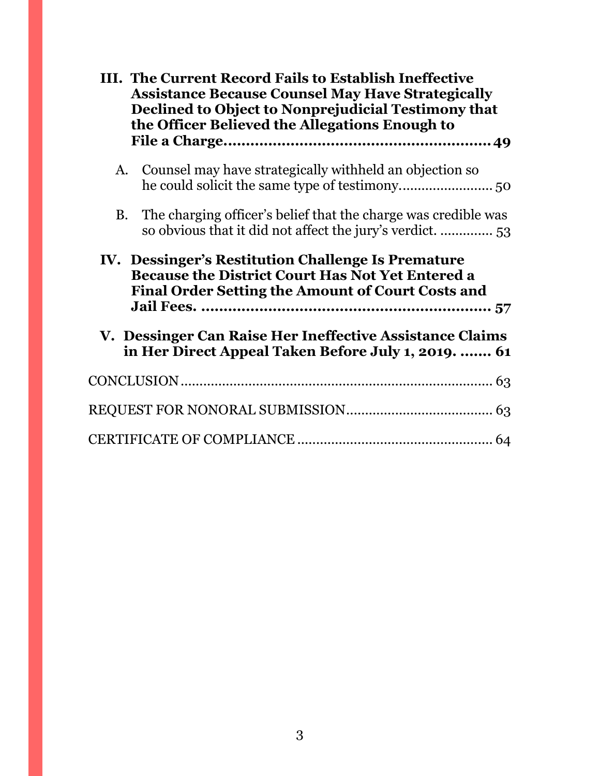| III. The Current Record Fails to Establish Ineffective<br><b>Assistance Because Counsel May Have Strategically</b><br>Declined to Object to Nonprejudicial Testimony that<br>the Officer Believed the Allegations Enough to |  |  |
|-----------------------------------------------------------------------------------------------------------------------------------------------------------------------------------------------------------------------------|--|--|
| Counsel may have strategically withheld an objection so<br>A.                                                                                                                                                               |  |  |
| The charging officer's belief that the charge was credible was<br><b>B.</b><br>so obvious that it did not affect the jury's verdict.  53                                                                                    |  |  |
| IV. Dessinger's Restitution Challenge Is Premature<br><b>Because the District Court Has Not Yet Entered a</b><br><b>Final Order Setting the Amount of Court Costs and</b>                                                   |  |  |
| V. Dessinger Can Raise Her Ineffective Assistance Claims<br>in Her Direct Appeal Taken Before July 1, 2019.  61                                                                                                             |  |  |
|                                                                                                                                                                                                                             |  |  |
|                                                                                                                                                                                                                             |  |  |
|                                                                                                                                                                                                                             |  |  |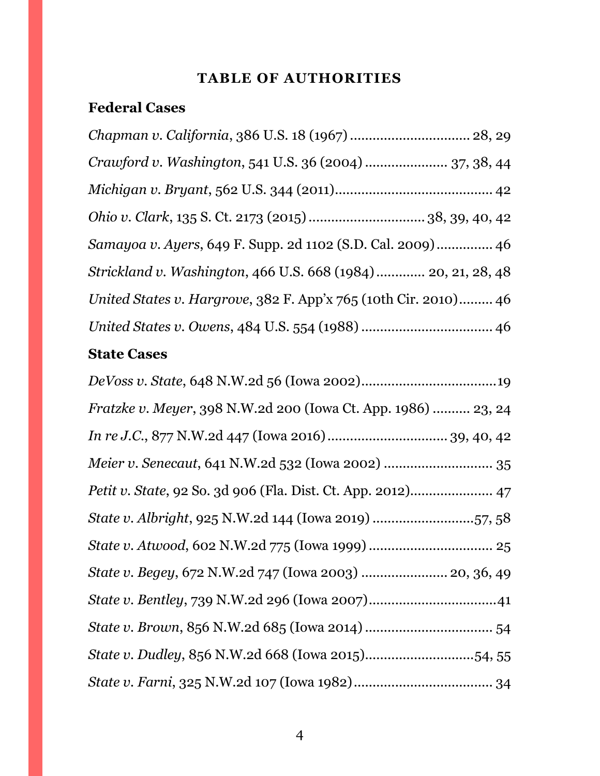# **TABLE OF AUTHORITIES**

# <span id="page-3-0"></span>**Federal Cases**

| Chapman v. California, 386 U.S. 18 (1967)  28, 29               |
|-----------------------------------------------------------------|
| Crawford v. Washington, 541 U.S. 36 (2004)  37, 38, 44          |
|                                                                 |
|                                                                 |
| Samayoa v. Ayers, 649 F. Supp. 2d 1102 (S.D. Cal. 2009) 46      |
| Strickland v. Washington, 466 U.S. 668 (1984)  20, 21, 28, 48   |
| United States v. Hargrove, 382 F. App'x 765 (10th Cir. 2010) 46 |
|                                                                 |
|                                                                 |

# **State Cases**

| Fratzke v. Meyer, 398 N.W.2d 200 (Iowa Ct. App. 1986)  23, 24 |
|---------------------------------------------------------------|
|                                                               |
|                                                               |
| Petit v. State, 92 So. 3d 906 (Fla. Dist. Ct. App. 2012) 47   |
| State v. Albright, 925 N.W.2d 144 (Iowa 2019) 57, 58          |
|                                                               |
| State v. Begey, 672 N.W.2d 747 (Iowa 2003)  20, 36, 49        |
|                                                               |
|                                                               |
| State v. Dudley, 856 N.W.2d 668 (Iowa 2015)54, 55             |
|                                                               |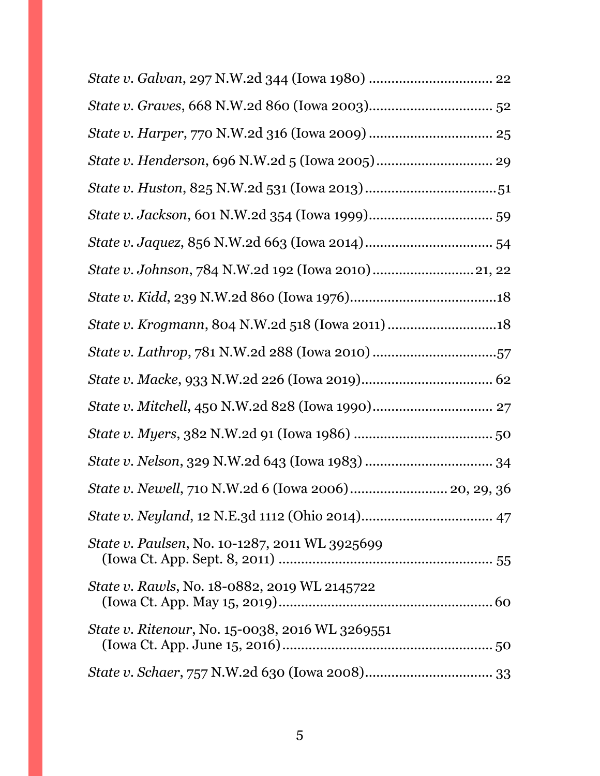| State v. Lathrop, 781 N.W.2d 288 (Iowa 2010) 57      |  |
|------------------------------------------------------|--|
|                                                      |  |
|                                                      |  |
|                                                      |  |
|                                                      |  |
| State v. Newell, 710 N.W.2d 6 (Iowa 2006) 20, 29, 36 |  |
|                                                      |  |
| State v. Paulsen, No. 10-1287, 2011 WL 3925699       |  |
| State v. Rawls, No. 18-0882, 2019 WL 2145722         |  |
| State v. Ritenour, No. 15-0038, 2016 WL 3269551      |  |
|                                                      |  |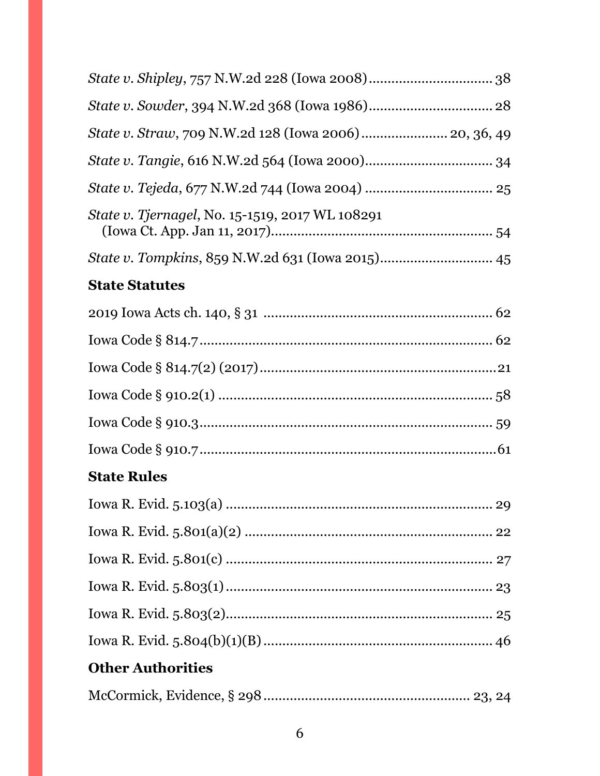| State v. Straw, 709 N.W.2d 128 (Iowa 2006) 20, 36, 49  |
|--------------------------------------------------------|
|                                                        |
|                                                        |
| <i>State v. Tjernagel, No.</i> 15-1519, 2017 WL 108291 |
|                                                        |
| <b>State Statutes</b>                                  |
|                                                        |
|                                                        |
|                                                        |
|                                                        |
|                                                        |
|                                                        |
| <b>State Rules</b>                                     |
| Iowa R. Evid. 5.103(a)<br>…… 29                        |
|                                                        |
|                                                        |
|                                                        |
|                                                        |
|                                                        |
| <b>Other Authorities</b>                               |
|                                                        |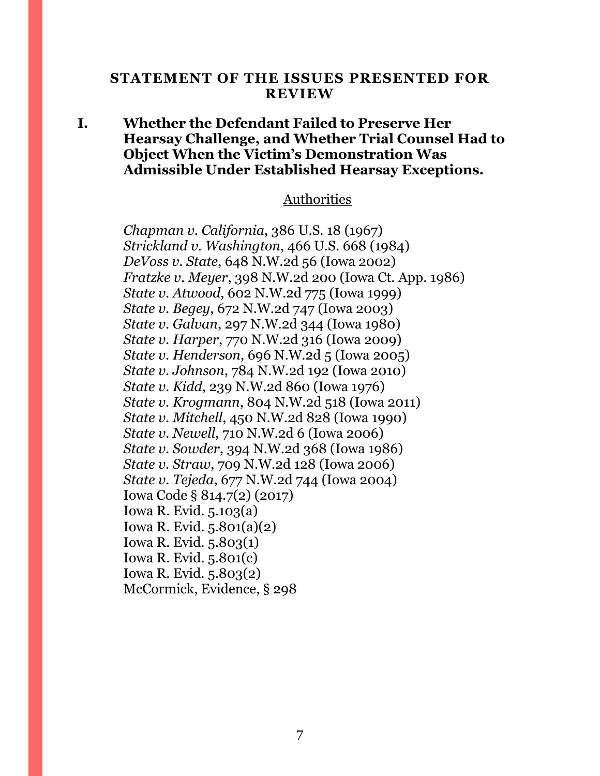#### <span id="page-6-0"></span>**STATEMENT OF THE ISSUES PRESENTED FOR REVIEW**

### **I. Whether the Defendant Failed to Preserve Her Hearsay Challenge, and Whether Trial Counsel Had to Object When the Victim's Demonstration Was Admissible Under Established Hearsay Exceptions.**

#### Authorities

*Chapman v. California*, 386 U.S. 18 (1967) *Strickland v. Washington*, 466 U.S. 668 (1984) *DeVoss v. State*, 648 N.W.2d 56 (Iowa 2002) *Fratzke v. Meyer*, 398 N.W.2d 200 (Iowa Ct. App. 1986) *State v. Atwood*, 602 N.W.2d 775 (Iowa 1999) *State v. Begey*, 672 N.W.2d 747 (Iowa 2003) *State v. Galvan*, 297 N.W.2d 344 (Iowa 1980) *State v. Harper*, 770 N.W.2d 316 (Iowa 2009) *State v. Henderson*, 696 N.W.2d 5 (Iowa 2005) *State v. Johnson*, 784 N.W.2d 192 (Iowa 2010) *State v. Kidd*, 239 N.W.2d 860 (Iowa 1976) *State v. Krogmann*, 804 N.W.2d 518 (Iowa 2011) *State v. Mitchell*, 450 N.W.2d 828 (Iowa 1990) *State v. Newell*, 710 N.W.2d 6 (Iowa 2006) *State v. Sowder*, 394 N.W.2d 368 (Iowa 1986) *State v. Straw*, 709 N.W.2d 128 (Iowa 2006) *State v. Tejeda*, 677 N.W.2d 744 (Iowa 2004) Iowa Code § 814.7(2) (2017) Iowa R. Evid. 5.103(a) Iowa R. Evid. 5.801(a)(2) Iowa R. Evid. 5.803(1) Iowa R. Evid. 5.801(c) Iowa R. Evid. 5.803(2) McCormick, Evidence, § 298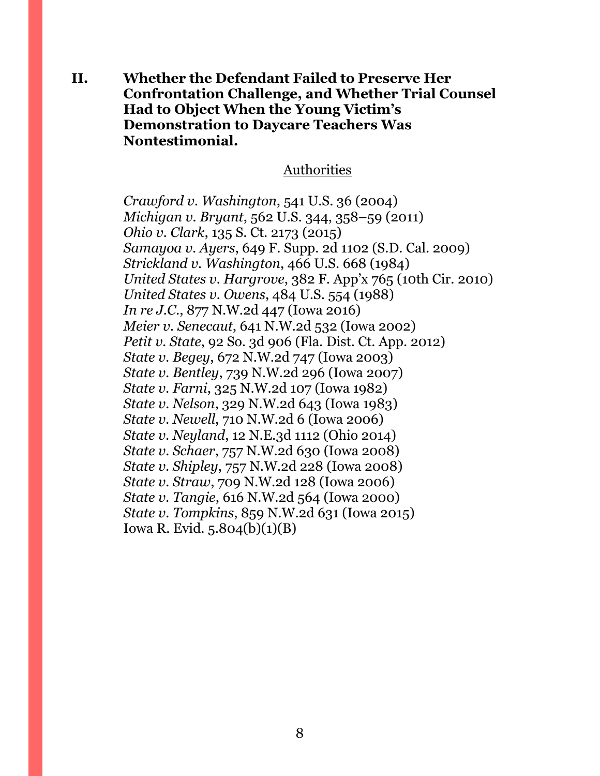**II. Whether the Defendant Failed to Preserve Her Confrontation Challenge, and Whether Trial Counsel Had to Object When the Young Victim's Demonstration to Daycare Teachers Was Nontestimonial.**

#### Authorities

*Crawford v. Washington*, 541 U.S. 36 (2004) *Michigan v. Bryant*, 562 U.S. 344, 358–59 (2011) *Ohio v. Clark*, 135 S. Ct. 2173 (2015) *Samayoa v. Ayers*, 649 F. Supp. 2d 1102 (S.D. Cal. 2009) *Strickland v. Washington*, 466 U.S. 668 (1984) *United States v. Hargrove*, 382 F. App'x 765 (10th Cir. 2010) *United States v. Owens*, 484 U.S. 554 (1988) *In re J.C.*, 877 N.W.2d 447 (Iowa 2016) *Meier v. Senecaut*, 641 N.W.2d 532 (Iowa 2002) *Petit v. State*, 92 So. 3d 906 (Fla. Dist. Ct. App. 2012) *State v. Begey*, 672 N.W.2d 747 (Iowa 2003) *State v. Bentley*, 739 N.W.2d 296 (Iowa 2007) *State v. Farni*, 325 N.W.2d 107 (Iowa 1982) *State v. Nelson*, 329 N.W.2d 643 (Iowa 1983) *State v. Newell*, 710 N.W.2d 6 (Iowa 2006) *State v. Neyland*, 12 N.E.3d 1112 (Ohio 2014) *State v. Schaer*, 757 N.W.2d 630 (Iowa 2008) *State v. Shipley*, 757 N.W.2d 228 (Iowa 2008) *State v. Straw*, 709 N.W.2d 128 (Iowa 2006) *State v. Tangie*, 616 N.W.2d 564 (Iowa 2000) *State v. Tompkins*, 859 N.W.2d 631 (Iowa 2015) Iowa R. Evid. 5.804(b)(1)(B)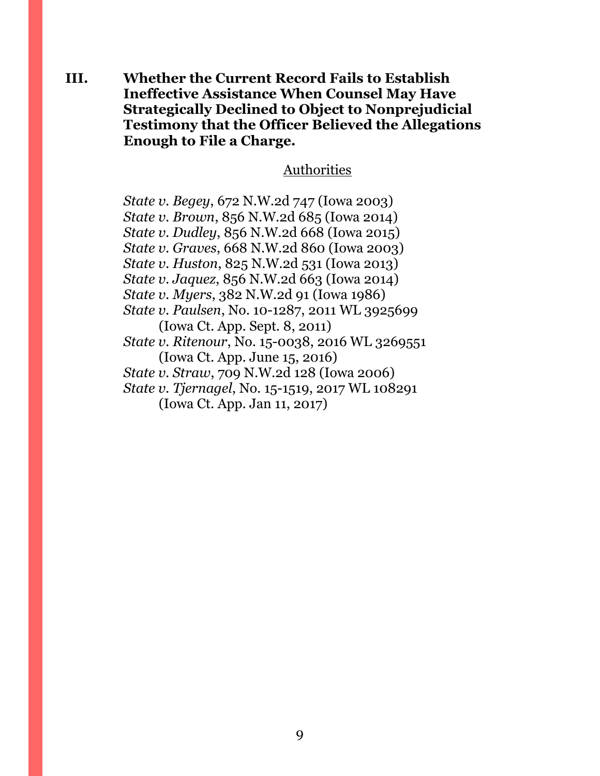**III. Whether the Current Record Fails to Establish Ineffective Assistance When Counsel May Have Strategically Declined to Object to Nonprejudicial Testimony that the Officer Believed the Allegations Enough to File a Charge.**

### Authorities

*State v. Begey*, 672 N.W.2d 747 (Iowa 2003) *State v. Brown*, 856 N.W.2d 685 (Iowa 2014) *State v. Dudley*, 856 N.W.2d 668 (Iowa 2015) *State v. Graves*, 668 N.W.2d 860 (Iowa 2003) *State v. Huston*, 825 N.W.2d 531 (Iowa 2013) *State v. Jaquez*, 856 N.W.2d 663 (Iowa 2014) *State v. Myers*, 382 N.W.2d 91 (Iowa 1986) *State v. Paulsen*, No. 10-1287, 2011 WL 3925699 (Iowa Ct. App. Sept. 8, 2011) *State v. Ritenour*, No. 15-0038, 2016 WL 3269551 (Iowa Ct. App. June 15, 2016) *State v. Straw*, 709 N.W.2d 128 (Iowa 2006) *State v. Tjernagel*, No. 15-1519, 2017 WL 108291 (Iowa Ct. App. Jan 11, 2017)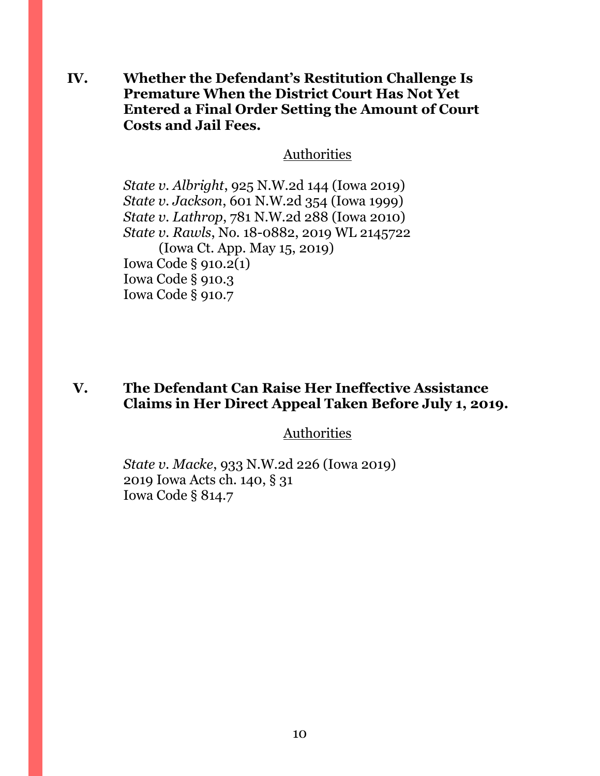**IV. Whether the Defendant's Restitution Challenge Is Premature When the District Court Has Not Yet Entered a Final Order Setting the Amount of Court Costs and Jail Fees.**

#### Authorities

*State v. Albright*, 925 N.W.2d 144 (Iowa 2019) *State v. Jackson*, 601 N.W.2d 354 (Iowa 1999) *State v. Lathrop*, 781 N.W.2d 288 (Iowa 2010) *State v. Rawls*, No. 18-0882, 2019 WL 2145722 (Iowa Ct. App. May 15, 2019) Iowa Code § 910.2(1) Iowa Code § 910.3 Iowa Code § 910.7

### **V. The Defendant Can Raise Her Ineffective Assistance Claims in Her Direct Appeal Taken Before July 1, 2019.**

### **Authorities**

*State v. Macke*, 933 N.W.2d 226 (Iowa 2019) 2019 Iowa Acts ch. 140, § 31 Iowa Code § 814.7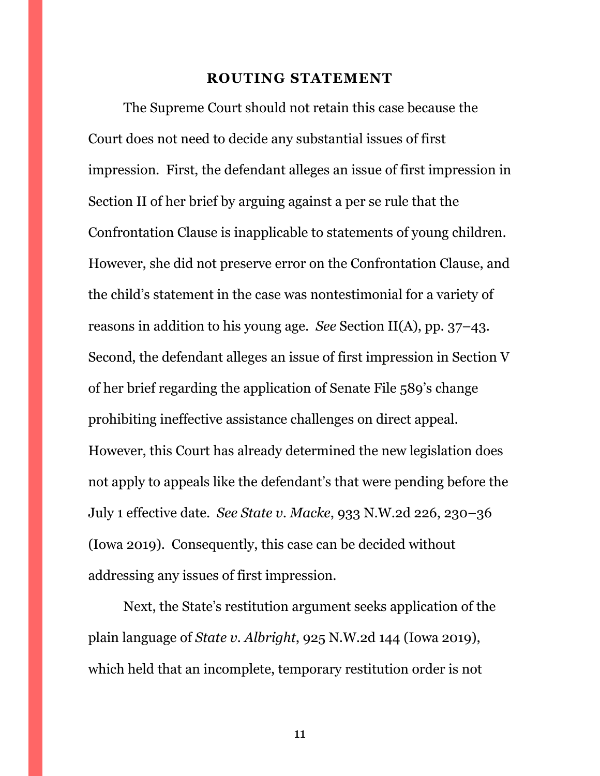#### **ROUTING STATEMENT**

<span id="page-10-0"></span>The Supreme Court should not retain this case because the Court does not need to decide any substantial issues of first impression. First, the defendant alleges an issue of first impression in Section II of her brief by arguing against a per se rule that the Confrontation Clause is inapplicable to statements of young children. However, she did not preserve error on the Confrontation Clause, and the child's statement in the case was nontestimonial for a variety of reasons in addition to his young age. *See* Section II(A), pp. 37–43. Second, the defendant alleges an issue of first impression in Section V of her brief regarding the application of Senate File 589's change prohibiting ineffective assistance challenges on direct appeal. However, this Court has already determined the new legislation does not apply to appeals like the defendant's that were pending before the July 1 effective date. *See State v. Macke*, 933 N.W.2d 226, 230–36 (Iowa 2019). Consequently, this case can be decided without addressing any issues of first impression.

Next, the State's restitution argument seeks application of the plain language of *State v. Albright*, 925 N.W.2d 144 (Iowa 2019), which held that an incomplete, temporary restitution order is not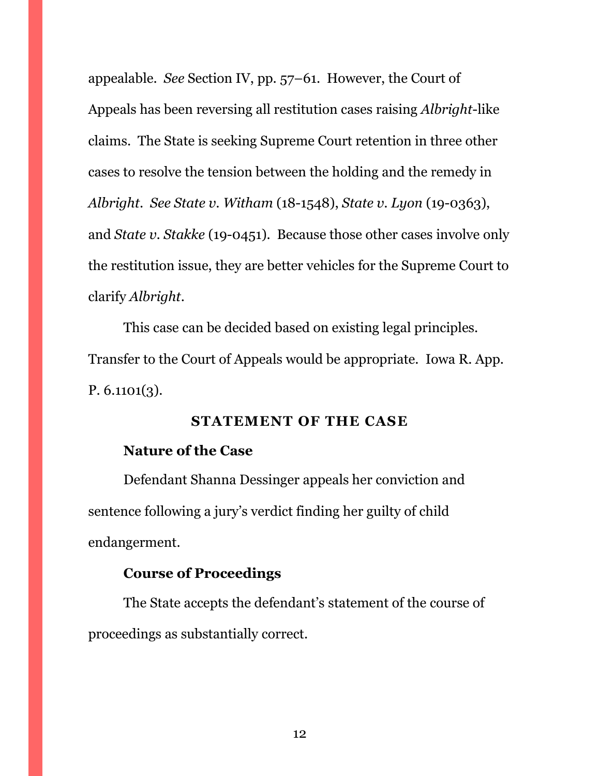appealable. *See* Section IV, pp. 57–61. However, the Court of Appeals has been reversing all restitution cases raising *Albright*-like claims. The State is seeking Supreme Court retention in three other cases to resolve the tension between the holding and the remedy in *Albright*. *See State v. Witham* (18-1548), *State v. Lyon* (19-0363), and *State v. Stakke* (19-0451). Because those other cases involve only the restitution issue, they are better vehicles for the Supreme Court to clarify *Albright*.

This case can be decided based on existing legal principles. Transfer to the Court of Appeals would be appropriate. Iowa R. App. P. 6.1101(3).

### **STATEMENT OF THE CASE**

#### <span id="page-11-0"></span>**Nature of the Case**

Defendant Shanna Dessinger appeals her conviction and sentence following a jury's verdict finding her guilty of child endangerment.

### **Course of Proceedings**

The State accepts the defendant's statement of the course of proceedings as substantially correct.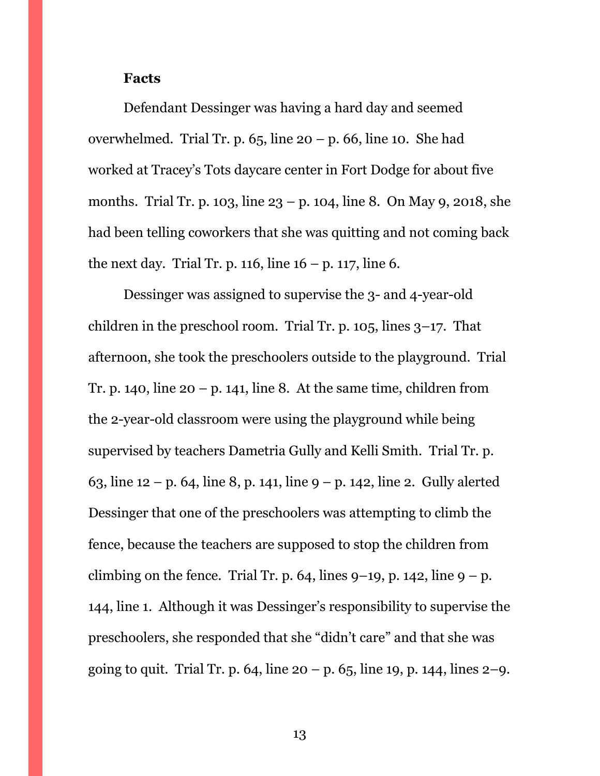#### **Facts**

Defendant Dessinger was having a hard day and seemed overwhelmed. Trial Tr. p.  $65$ , line  $20 - p$ . 66, line 10. She had worked at Tracey's Tots daycare center in Fort Dodge for about five months. Trial Tr. p. 103, line 23 – p. 104, line 8. On May 9, 2018, she had been telling coworkers that she was quitting and not coming back the next day. Trial Tr. p. 116, line  $16 - p$ . 117, line 6.

Dessinger was assigned to supervise the 3- and 4-year-old children in the preschool room. Trial Tr. p.  $105$ , lines  $3-17$ . That afternoon, she took the preschoolers outside to the playground. Trial Tr. p. 140, line  $20 - p$ . 141, line 8. At the same time, children from the 2-year-old classroom were using the playground while being supervised by teachers Dametria Gully and Kelli Smith. Trial Tr. p. 63, line 12 – p. 64, line 8, p. 141, line 9 – p. 142, line 2. Gully alerted Dessinger that one of the preschoolers was attempting to climb the fence, because the teachers are supposed to stop the children from climbing on the fence. Trial Tr. p. 64, lines  $9-19$ , p. 142, line  $9-p$ . 144, line 1. Although it was Dessinger's responsibility to supervise the preschoolers, she responded that she "didn't care" and that she was going to quit. Trial Tr. p. 64, line  $20 - p$ . 65, line 19, p. 144, lines  $2 - q$ .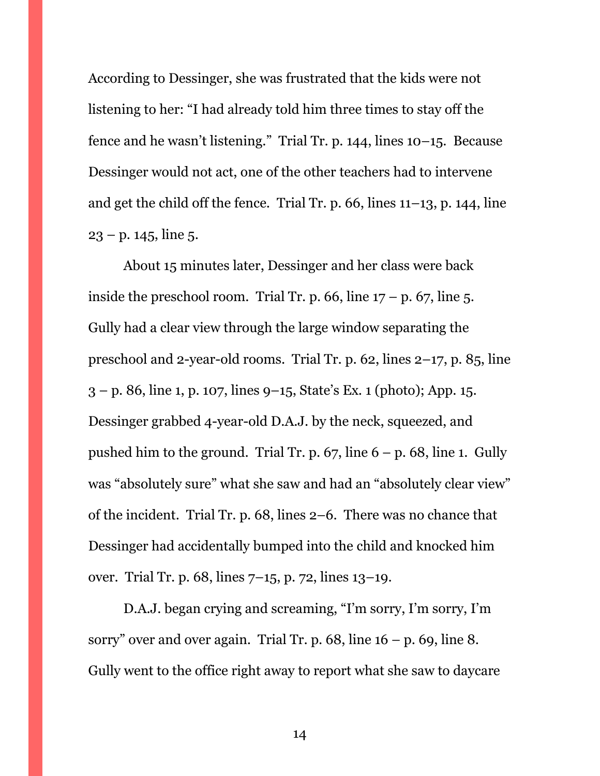According to Dessinger, she was frustrated that the kids were not listening to her: "I had already told him three times to stay off the fence and he wasn't listening." Trial Tr. p. 144, lines 10–15. Because Dessinger would not act, one of the other teachers had to intervene and get the child off the fence. Trial Tr. p. 66, lines 11–13, p. 144, line  $23 - p. 145$ , line 5.

About 15 minutes later, Dessinger and her class were back inside the preschool room. Trial Tr. p. 66, line  $17 - p$ . 67, line 5. Gully had a clear view through the large window separating the preschool and 2-year-old rooms. Trial Tr. p. 62, lines 2–17, p. 85, line  $3 - p$ . 86, line 1, p. 107, lines 9–15, State's Ex. 1 (photo); App. 15. Dessinger grabbed 4-year-old D.A.J. by the neck, squeezed, and pushed him to the ground. Trial Tr. p.  $67$ , line  $6 - p$ . 68, line 1. Gully was "absolutely sure" what she saw and had an "absolutely clear view" of the incident. Trial Tr. p. 68, lines 2–6. There was no chance that Dessinger had accidentally bumped into the child and knocked him over. Trial Tr. p. 68, lines 7–15, p. 72, lines 13–19.

D.A.J. began crying and screaming, "I'm sorry, I'm sorry, I'm sorry" over and over again. Trial Tr. p.  $68$ , line  $16 - p$ .  $69$ , line 8. Gully went to the office right away to report what she saw to daycare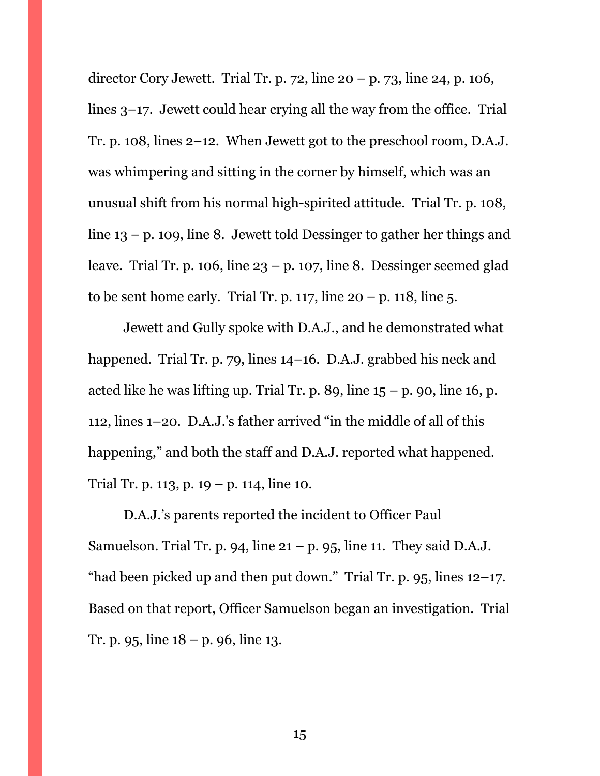director Cory Jewett. Trial Tr. p. 72, line 20 – p. 73, line 24, p. 106, lines 3–17. Jewett could hear crying all the way from the office. Trial Tr. p. 108, lines 2–12. When Jewett got to the preschool room, D.A.J. was whimpering and sitting in the corner by himself, which was an unusual shift from his normal high-spirited attitude. Trial Tr. p. 108, line 13 – p. 109, line 8. Jewett told Dessinger to gather her things and leave. Trial Tr. p. 106, line  $23 - p$ . 107, line 8. Dessinger seemed glad to be sent home early. Trial Tr. p. 117, line  $20 - p$ . 118, line 5.

Jewett and Gully spoke with D.A.J., and he demonstrated what happened. Trial Tr. p. 79, lines 14–16. D.A.J. grabbed his neck and acted like he was lifting up. Trial Tr. p. 89, line  $15 - p$ . 90, line 16, p. 112, lines 1–20. D.A.J.'s father arrived "in the middle of all of this happening," and both the staff and D.A.J. reported what happened. Trial Tr. p. 113, p. 19 – p. 114, line 10.

D.A.J.'s parents reported the incident to Officer Paul Samuelson. Trial Tr. p. 94, line  $21 - p$ . 95, line 11. They said D.A.J. "had been picked up and then put down." Trial Tr. p.  $95$ , lines  $12-17$ . Based on that report, Officer Samuelson began an investigation. Trial Tr. p. 95, line 18 – p. 96, line 13.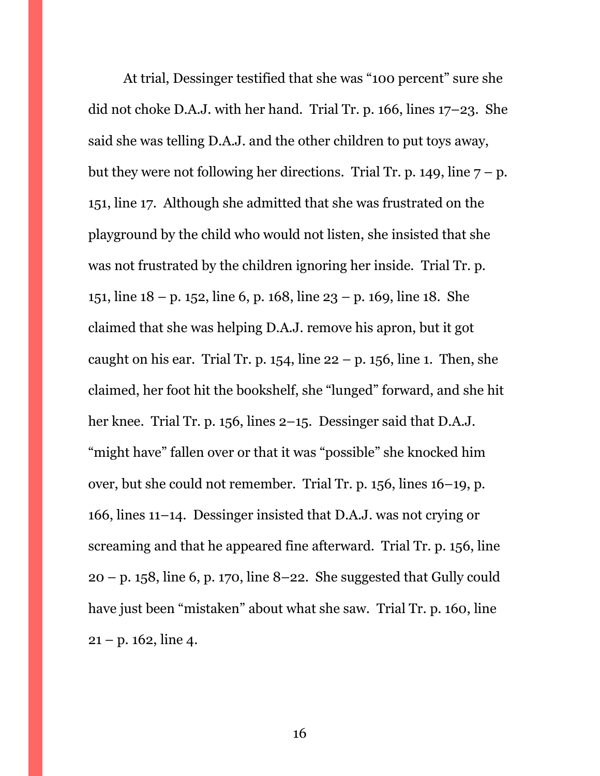<span id="page-15-0"></span>At trial, Dessinger testified that she was "100 percent" sure she did not choke D.A.J. with her hand. Trial Tr. p. 166, lines 17–23. She said she was telling D.A.J. and the other children to put toys away, but they were not following her directions. Trial Tr. p. 149, line  $7 - p$ . 151, line 17. Although she admitted that she was frustrated on the playground by the child who would not listen, she insisted that she was not frustrated by the children ignoring her inside. Trial Tr. p. 151, line 18 – p. 152, line 6, p. 168, line 23 – p. 169, line 18. She claimed that she was helping D.A.J. remove his apron, but it got caught on his ear. Trial Tr. p. 154, line  $22 - p$ . 156, line 1. Then, she claimed, her foot hit the bookshelf, she "lunged" forward, and she hit her knee. Trial Tr. p. 156, lines 2–15. Dessinger said that D.A.J. "might have" fallen over or that it was "possible" she knocked him over, but she could not remember. Trial Tr. p. 156, lines 16–19, p. 166, lines 11–14. Dessinger insisted that D.A.J. was not crying or screaming and that he appeared fine afterward. Trial Tr. p. 156, line  $20 - p$ . 158, line 6, p. 170, line 8–22. She suggested that Gully could have just been "mistaken" about what she saw. Trial Tr. p. 160, line  $21 - p. 162$ , line 4.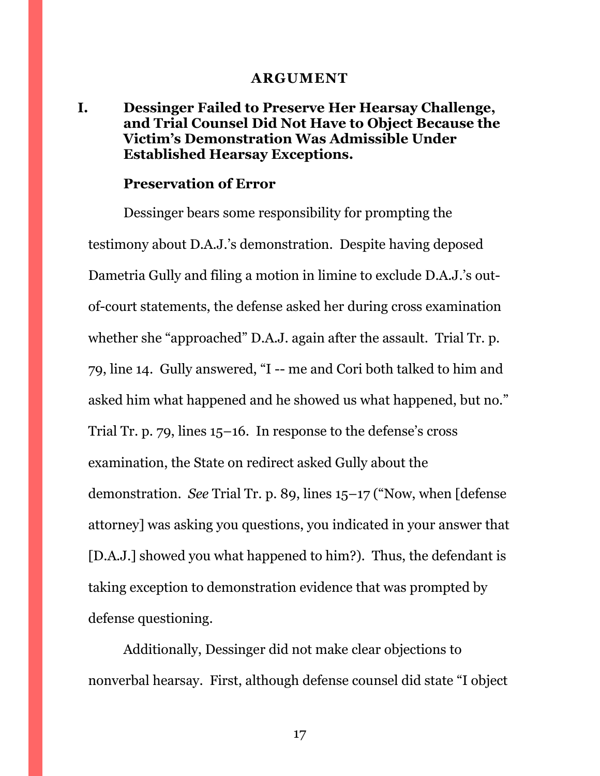#### **ARGUMENT**

### **I. Dessinger Failed to Preserve Her Hearsay Challenge, and Trial Counsel Did Not Have to Object Because the Victim's Demonstration Was Admissible Under Established Hearsay Exceptions.**

#### **Preservation of Error**

Dessinger bears some responsibility for prompting the testimony about D.A.J.'s demonstration. Despite having deposed Dametria Gully and filing a motion in limine to exclude D.A.J.'s outof-court statements, the defense asked her during cross examination whether she "approached" D.A.J. again after the assault. Trial Tr. p. 79, line 14. Gully answered, "I -- me and Cori both talked to him and asked him what happened and he showed us what happened, but no." Trial Tr. p. 79, lines 15–16. In response to the defense's cross examination, the State on redirect asked Gully about the demonstration. *See* Trial Tr. p. 89, lines 15–17 ("Now, when [defense attorney] was asking you questions, you indicated in your answer that [D.A.J.] showed you what happened to him?). Thus, the defendant is taking exception to demonstration evidence that was prompted by defense questioning.

Additionally, Dessinger did not make clear objections to nonverbal hearsay. First, although defense counsel did state "I object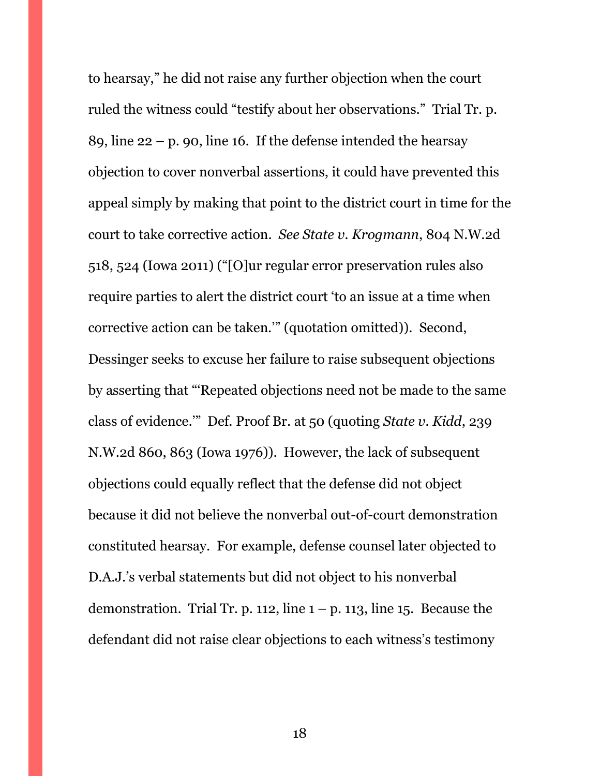to hearsay," he did not raise any further objection when the court ruled the witness could "testify about her observations." Trial Tr. p. 89, line  $22 - p$ , 90, line 16. If the defense intended the hearsay objection to cover nonverbal assertions, it could have prevented this appeal simply by making that point to the district court in time for the court to take corrective action. *See State v. Krogmann*, 804 N.W.2d 518, 524 (Iowa 2011) ("[O]ur regular error preservation rules also require parties to alert the district court 'to an issue at a time when corrective action can be taken.'" (quotation omitted)). Second, Dessinger seeks to excuse her failure to raise subsequent objections by asserting that "'Repeated objections need not be made to the same class of evidence.'" Def. Proof Br. at 50 (quoting *State v. Kidd*, 239 N.W.2d 860, 863 (Iowa 1976)). However, the lack of subsequent objections could equally reflect that the defense did not object because it did not believe the nonverbal out-of-court demonstration constituted hearsay. For example, defense counsel later objected to D.A.J.'s verbal statements but did not object to his nonverbal demonstration. Trial Tr. p. 112, line  $1 - p$ . 113, line 15. Because the defendant did not raise clear objections to each witness's testimony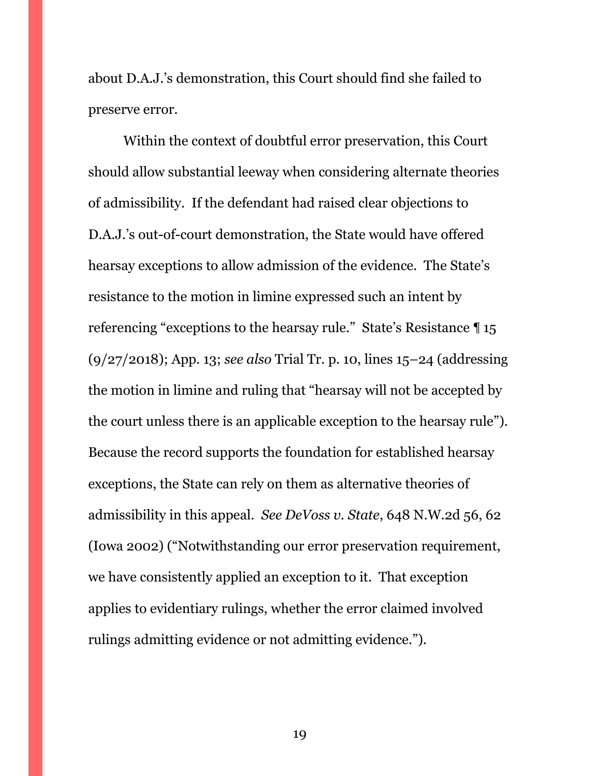about D.A.J.'s demonstration, this Court should find she failed to preserve error.

Within the context of doubtful error preservation, this Court should allow substantial leeway when considering alternate theories of admissibility. If the defendant had raised clear objections to D.A.J.'s out-of-court demonstration, the State would have offered hearsay exceptions to allow admission of the evidence. The State's resistance to the motion in limine expressed such an intent by referencing "exceptions to the hearsay rule." State's Resistance ¶ 15 (9/27/2018); App. 13; *see also* Trial Tr. p. 10, lines 15–24 (addressing the motion in limine and ruling that "hearsay will not be accepted by the court unless there is an applicable exception to the hearsay rule"). Because the record supports the foundation for established hearsay exceptions, the State can rely on them as alternative theories of admissibility in this appeal. *See DeVoss v. State*, 648 N.W.2d 56, 62 (Iowa 2002) ("Notwithstanding our error preservation requirement, we have consistently applied an exception to it. That exception applies to evidentiary rulings, whether the error claimed involved rulings admitting evidence or not admitting evidence.").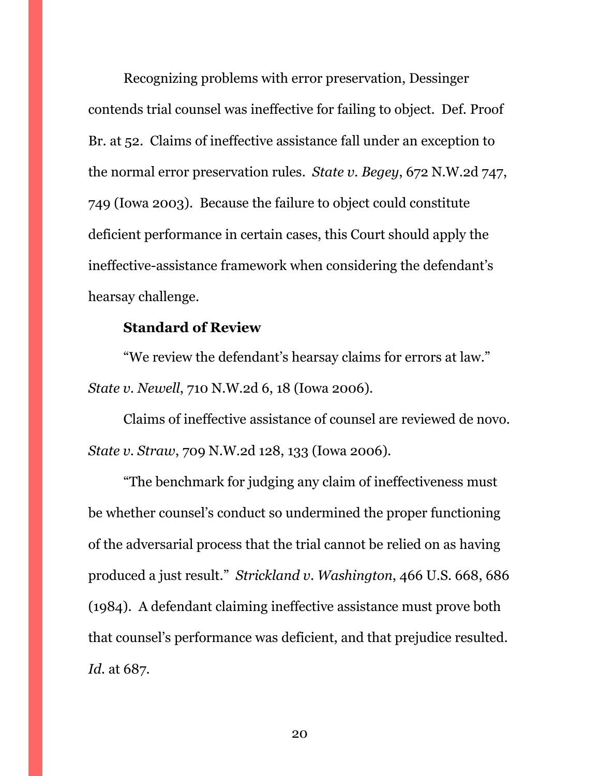Recognizing problems with error preservation, Dessinger contends trial counsel was ineffective for failing to object. Def. Proof Br. at 52. Claims of ineffective assistance fall under an exception to the normal error preservation rules. *State v. Begey*, 672 N.W.2d 747, 749 (Iowa 2003). Because the failure to object could constitute deficient performance in certain cases, this Court should apply the ineffective-assistance framework when considering the defendant's hearsay challenge.

#### **Standard of Review**

"We review the defendant's hearsay claims for errors at law." *State v. Newell*, 710 N.W.2d 6, 18 (Iowa 2006).

Claims of ineffective assistance of counsel are reviewed de novo. *State v. Straw*, 709 N.W.2d 128, 133 (Iowa 2006).

"The benchmark for judging any claim of ineffectiveness must be whether counsel's conduct so undermined the proper functioning of the adversarial process that the trial cannot be relied on as having produced a just result." *Strickland v. Washington*, 466 U.S. 668, 686 (1984). A defendant claiming ineffective assistance must prove both that counsel's performance was deficient, and that prejudice resulted. *Id.* at 687.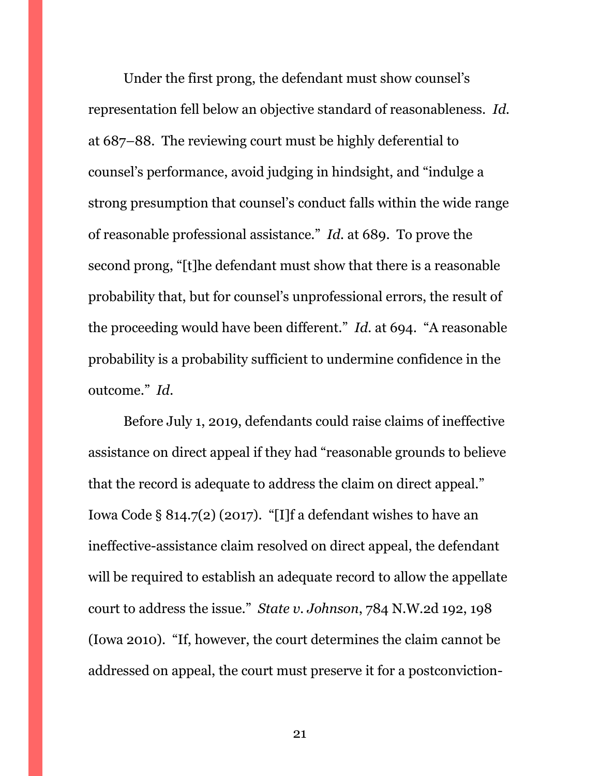Under the first prong, the defendant must show counsel's representation fell below an objective standard of reasonableness. *Id.* at 687–88. The reviewing court must be highly deferential to counsel's performance, avoid judging in hindsight, and "indulge a strong presumption that counsel's conduct falls within the wide range of reasonable professional assistance." *Id.* at 689. To prove the second prong, "[t]he defendant must show that there is a reasonable probability that, but for counsel's unprofessional errors, the result of the proceeding would have been different." *Id.* at 694. "A reasonable probability is a probability sufficient to undermine confidence in the outcome." *Id.*

Before July 1, 2019, defendants could raise claims of ineffective assistance on direct appeal if they had "reasonable grounds to believe that the record is adequate to address the claim on direct appeal." Iowa Code § 814.7(2) (2017). "[I]f a defendant wishes to have an ineffective-assistance claim resolved on direct appeal, the defendant will be required to establish an adequate record to allow the appellate court to address the issue." *State v. Johnson*, 784 N.W.2d 192, 198 (Iowa 2010). "If, however, the court determines the claim cannot be addressed on appeal, the court must preserve it for a postconviction-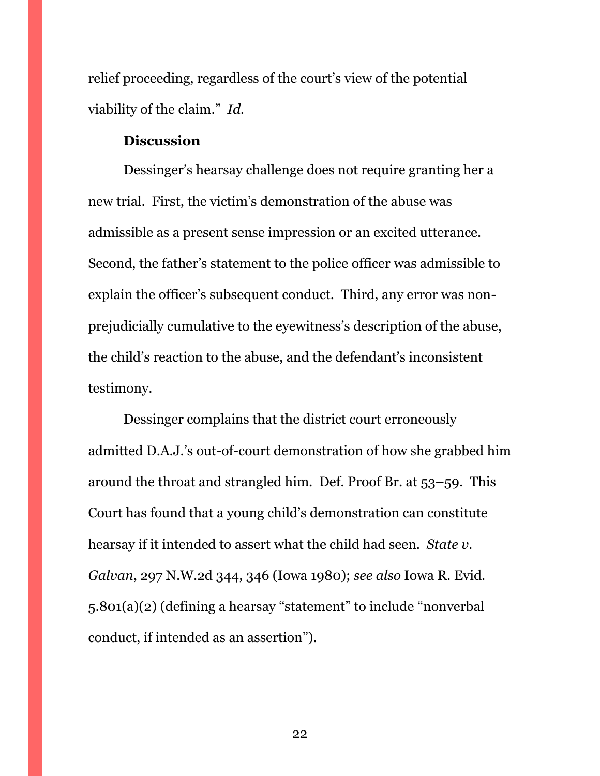relief proceeding, regardless of the court's view of the potential viability of the claim." *Id.*

#### **Discussion**

Dessinger's hearsay challenge does not require granting her a new trial. First, the victim's demonstration of the abuse was admissible as a present sense impression or an excited utterance. Second, the father's statement to the police officer was admissible to explain the officer's subsequent conduct. Third, any error was nonprejudicially cumulative to the eyewitness's description of the abuse, the child's reaction to the abuse, and the defendant's inconsistent testimony.

Dessinger complains that the district court erroneously admitted D.A.J.'s out-of-court demonstration of how she grabbed him around the throat and strangled him. Def. Proof Br. at 53–59. This Court has found that a young child's demonstration can constitute hearsay if it intended to assert what the child had seen. *State v. Galvan*, 297 N.W.2d 344, 346 (Iowa 1980); *see also* Iowa R. Evid. 5.801(a)(2) (defining a hearsay "statement" to include "nonverbal conduct, if intended as an assertion").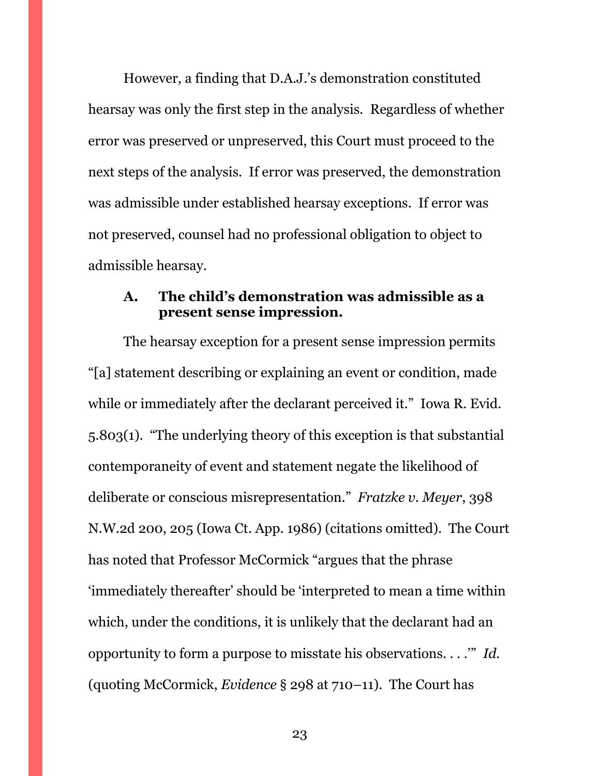However, a finding that D.A.J.'s demonstration constituted hearsay was only the first step in the analysis. Regardless of whether error was preserved or unpreserved, this Court must proceed to the next steps of the analysis. If error was preserved, the demonstration was admissible under established hearsay exceptions. If error was not preserved, counsel had no professional obligation to object to admissible hearsay.

#### <span id="page-22-0"></span>**A. The child's demonstration was admissible as a present sense impression.**

The hearsay exception for a present sense impression permits "[a] statement describing or explaining an event or condition, made while or immediately after the declarant perceived it." Iowa R. Evid. 5.803(1). "The underlying theory of this exception is that substantial contemporaneity of event and statement negate the likelihood of deliberate or conscious misrepresentation." *Fratzke v. Meyer*, 398 N.W.2d 200, 205 (Iowa Ct. App. 1986) (citations omitted). The Court has noted that Professor McCormick "argues that the phrase 'immediately thereafter' should be 'interpreted to mean a time within which, under the conditions, it is unlikely that the declarant had an opportunity to form a purpose to misstate his observations. . . .'" *Id.* (quoting McCormick, *Evidence* § 298 at 710–11). The Court has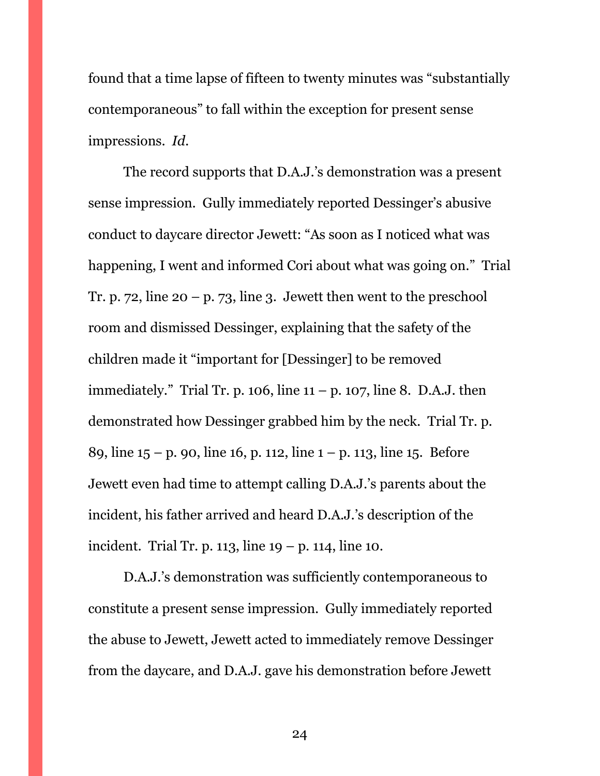found that a time lapse of fifteen to twenty minutes was "substantially contemporaneous" to fall within the exception for present sense impressions. *Id.*

The record supports that D.A.J.'s demonstration was a present sense impression. Gully immediately reported Dessinger's abusive conduct to daycare director Jewett: "As soon as I noticed what was happening, I went and informed Cori about what was going on." Trial Tr. p. 72, line  $20 - p$ . 73, line 3. Jewett then went to the preschool room and dismissed Dessinger, explaining that the safety of the children made it "important for [Dessinger] to be removed immediately." Trial Tr. p. 106, line  $11 - p$ . 107, line 8. D.A.J. then demonstrated how Dessinger grabbed him by the neck. Trial Tr. p. 89, line  $15 - p$ , 90, line 16, p. 112, line  $1 - p$ , 113, line 15. Before Jewett even had time to attempt calling D.A.J.'s parents about the incident, his father arrived and heard D.A.J.'s description of the incident. Trial Tr. p. 113, line  $19 - p$ . 114, line 10.

D.A.J.'s demonstration was sufficiently contemporaneous to constitute a present sense impression. Gully immediately reported the abuse to Jewett, Jewett acted to immediately remove Dessinger from the daycare, and D.A.J. gave his demonstration before Jewett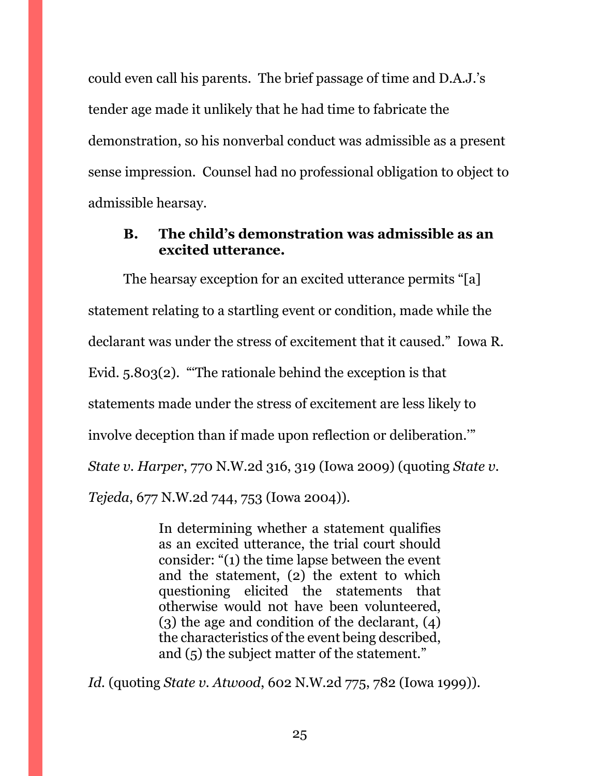could even call his parents. The brief passage of time and D.A.J.'s tender age made it unlikely that he had time to fabricate the demonstration, so his nonverbal conduct was admissible as a present sense impression. Counsel had no professional obligation to object to admissible hearsay.

### <span id="page-24-0"></span>**B. The child's demonstration was admissible as an excited utterance.**

The hearsay exception for an excited utterance permits "[a] statement relating to a startling event or condition, made while the declarant was under the stress of excitement that it caused." Iowa R. Evid. 5.803(2). "'The rationale behind the exception is that statements made under the stress of excitement are less likely to involve deception than if made upon reflection or deliberation.'" *State v. Harper*, 770 N.W.2d 316, 319 (Iowa 2009) (quoting *State v. Tejeda*, 677 N.W.2d 744, 753 (Iowa 2004)).

> In determining whether a statement qualifies as an excited utterance, the trial court should consider: "(1) the time lapse between the event and the statement, (2) the extent to which questioning elicited the statements that otherwise would not have been volunteered, (3) the age and condition of the declarant, (4) the characteristics of the event being described, and (5) the subject matter of the statement."

*Id.* (quoting *State v. Atwood*, 602 N.W.2d 775, 782 (Iowa 1999)).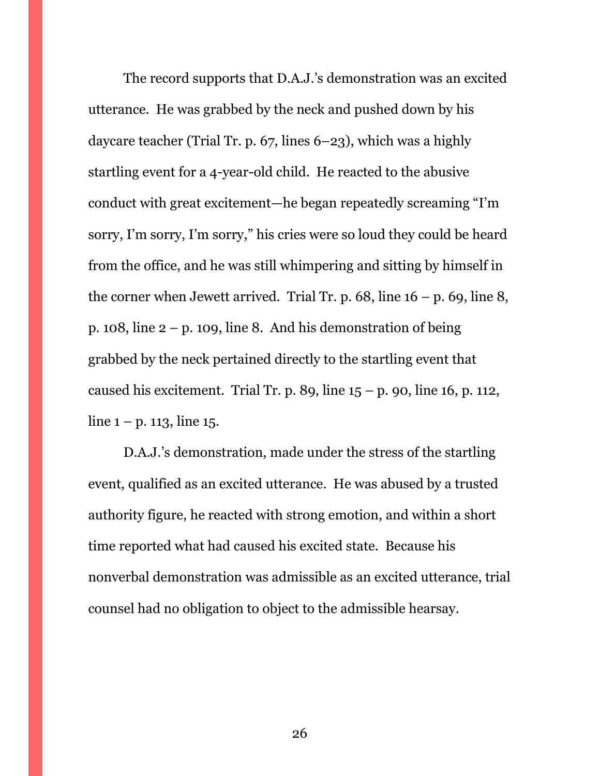The record supports that D.A.J.'s demonstration was an excited utterance. He was grabbed by the neck and pushed down by his daycare teacher (Trial Tr. p. 67, lines 6–23), which was a highly startling event for a 4-year-old child. He reacted to the abusive conduct with great excitement—he began repeatedly screaming "I'm sorry, I'm sorry, I'm sorry," his cries were so loud they could be heard from the office, and he was still whimpering and sitting by himself in the corner when Jewett arrived. Trial Tr. p.  $68$ , line  $16 - p$ .  $69$ , line  $8$ , p. 108, line  $2 - p$ . 109, line 8. And his demonstration of being grabbed by the neck pertained directly to the startling event that caused his excitement. Trial Tr. p. 89, line  $15 - p$ . 90, line 16, p. 112, line  $1 - p$ . 113, line 15.

D.A.J.'s demonstration, made under the stress of the startling event, qualified as an excited utterance. He was abused by a trusted authority figure, he reacted with strong emotion, and within a short time reported what had caused his excited state. Because his nonverbal demonstration was admissible as an excited utterance, trial counsel had no obligation to object to the admissible hearsay.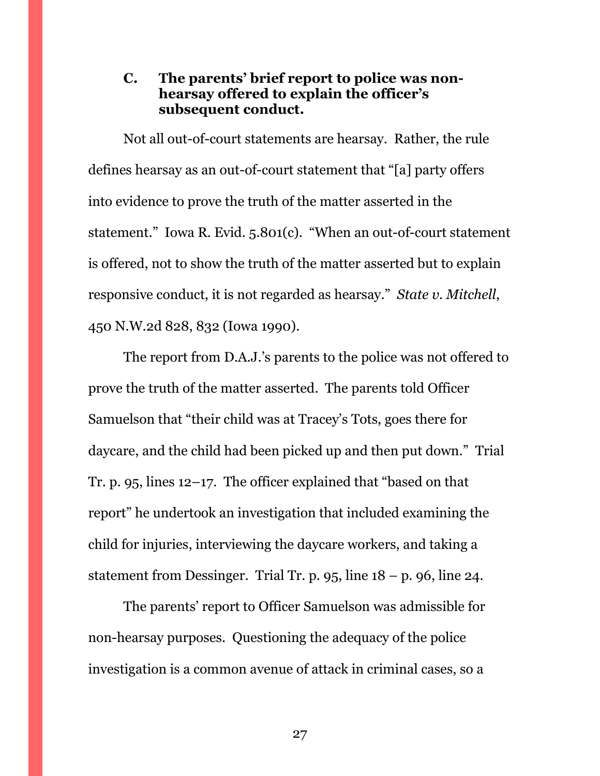### <span id="page-26-0"></span>**C. The parents' brief report to police was nonhearsay offered to explain the officer's subsequent conduct.**

Not all out-of-court statements are hearsay. Rather, the rule defines hearsay as an out-of-court statement that "[a] party offers into evidence to prove the truth of the matter asserted in the statement." Iowa R. Evid. 5.801(c). "When an out-of-court statement is offered, not to show the truth of the matter asserted but to explain responsive conduct, it is not regarded as hearsay." *State v. Mitchell*, 450 N.W.2d 828, 832 (Iowa 1990).

The report from D.A.J.'s parents to the police was not offered to prove the truth of the matter asserted. The parents told Officer Samuelson that "their child was at Tracey's Tots, goes there for daycare, and the child had been picked up and then put down." Trial Tr. p. 95, lines 12–17. The officer explained that "based on that report" he undertook an investigation that included examining the child for injuries, interviewing the daycare workers, and taking a statement from Dessinger. Trial Tr. p. 95, line  $18 - p$ , 96, line 24.

The parents' report to Officer Samuelson was admissible for non-hearsay purposes. Questioning the adequacy of the police investigation is a common avenue of attack in criminal cases, so a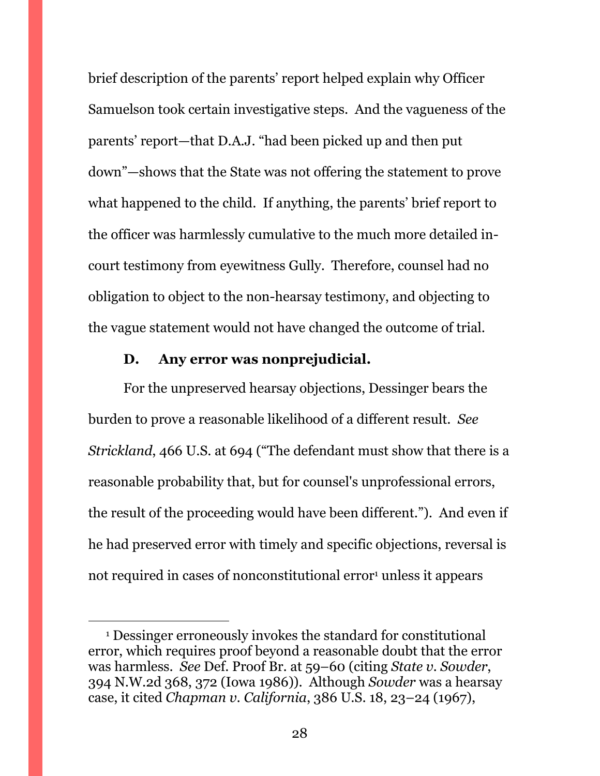brief description of the parents' report helped explain why Officer Samuelson took certain investigative steps. And the vagueness of the parents' report—that D.A.J. "had been picked up and then put down"—shows that the State was not offering the statement to prove what happened to the child. If anything, the parents' brief report to the officer was harmlessly cumulative to the much more detailed incourt testimony from eyewitness Gully. Therefore, counsel had no obligation to object to the non-hearsay testimony, and objecting to the vague statement would not have changed the outcome of trial.

#### **D. Any error was nonprejudicial.**

 $\overline{a}$ 

<span id="page-27-0"></span>For the unpreserved hearsay objections, Dessinger bears the burden to prove a reasonable likelihood of a different result. *See Strickland*, 466 U.S. at 694 ("The defendant must show that there is a reasonable probability that, but for counsel's unprofessional errors, the result of the proceeding would have been different."). And even if he had preserved error with timely and specific objections, reversal is not required in cases of nonconstitutional error<sup>1</sup> unless it appears

<sup>1</sup> Dessinger erroneously invokes the standard for constitutional error, which requires proof beyond a reasonable doubt that the error was harmless. *See* Def. Proof Br. at 59–60 (citing *State v. Sowder*, 394 N.W.2d 368, 372 (Iowa 1986)). Although *Sowder* was a hearsay case, it cited *Chapman v. California*, 386 U.S. 18, 23–24 (1967),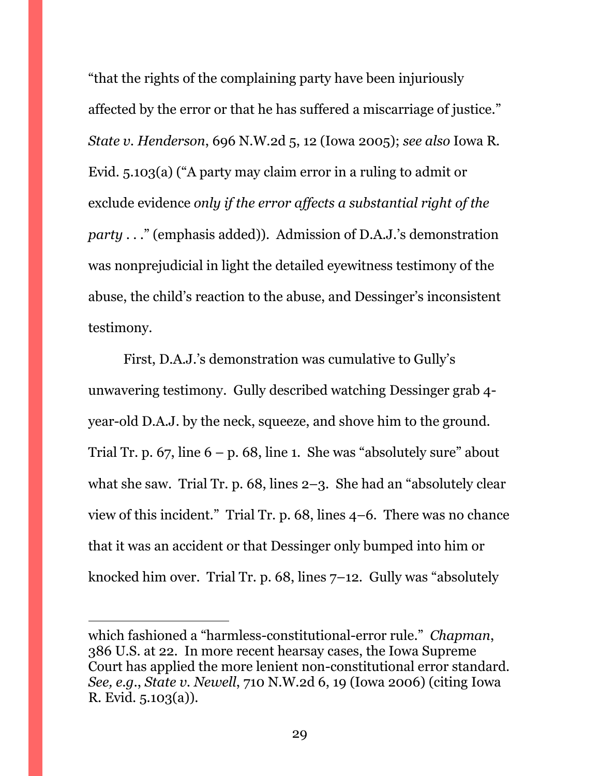"that the rights of the complaining party have been injuriously affected by the error or that he has suffered a miscarriage of justice." *State v. Henderson*, 696 N.W.2d 5, 12 (Iowa 2005); *see also* Iowa R. Evid. 5.103(a) ("A party may claim error in a ruling to admit or exclude evidence *only if the error affects a substantial right of the party* . . ." (emphasis added)). Admission of D.A.J.'s demonstration was nonprejudicial in light the detailed eyewitness testimony of the abuse, the child's reaction to the abuse, and Dessinger's inconsistent testimony.

First, D.A.J.'s demonstration was cumulative to Gully's unwavering testimony. Gully described watching Dessinger grab 4 year-old D.A.J. by the neck, squeeze, and shove him to the ground. Trial Tr. p.  $67$ , line  $6 - p$ . 68, line 1. She was "absolutely sure" about what she saw. Trial Tr. p. 68, lines 2–3. She had an "absolutely clear view of this incident." Trial Tr. p. 68, lines 4–6. There was no chance that it was an accident or that Dessinger only bumped into him or knocked him over. Trial Tr. p. 68, lines 7–12. Gully was "absolutely

 $\overline{a}$ 

which fashioned a "harmless-constitutional-error rule." *Chapman*, 386 U.S. at 22. In more recent hearsay cases, the Iowa Supreme Court has applied the more lenient non-constitutional error standard. *See, e.g.*, *State v. Newell*, 710 N.W.2d 6, 19 (Iowa 2006) (citing Iowa R. Evid. 5.103(a)).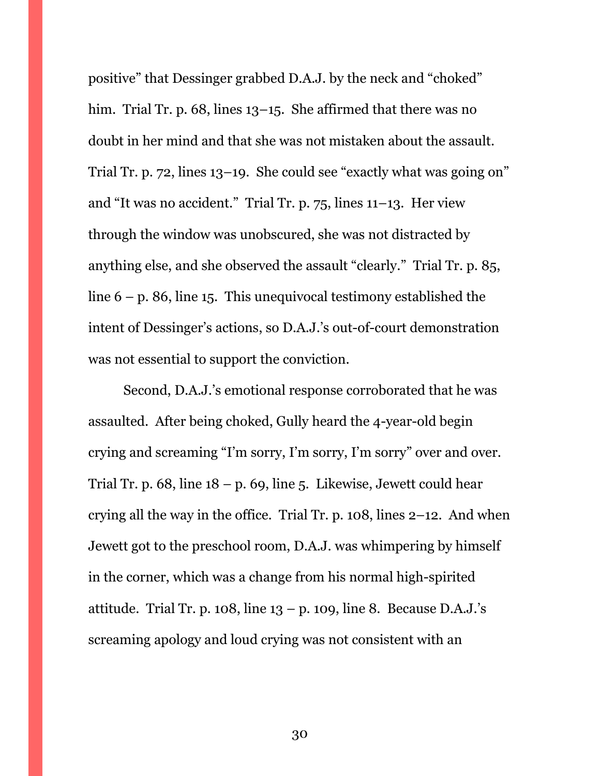positive" that Dessinger grabbed D.A.J. by the neck and "choked" him. Trial Tr. p. 68, lines 13–15. She affirmed that there was no doubt in her mind and that she was not mistaken about the assault. Trial Tr. p. 72, lines 13–19. She could see "exactly what was going on" and "It was no accident." Trial Tr. p. 75, lines 11–13. Her view through the window was unobscured, she was not distracted by anything else, and she observed the assault "clearly." Trial Tr. p. 85, line  $6 - p$ . 86, line 15. This unequivocal testimony established the intent of Dessinger's actions, so D.A.J.'s out-of-court demonstration was not essential to support the conviction.

Second, D.A.J.'s emotional response corroborated that he was assaulted. After being choked, Gully heard the 4-year-old begin crying and screaming "I'm sorry, I'm sorry, I'm sorry" over and over. Trial Tr. p.  $68$ , line  $18 - p$ .  $69$ , line 5. Likewise, Jewett could hear crying all the way in the office. Trial Tr. p. 108, lines 2–12. And when Jewett got to the preschool room, D.A.J. was whimpering by himself in the corner, which was a change from his normal high-spirited attitude. Trial Tr. p. 108, line  $13 - p$ . 109, line 8. Because D.A.J.'s screaming apology and loud crying was not consistent with an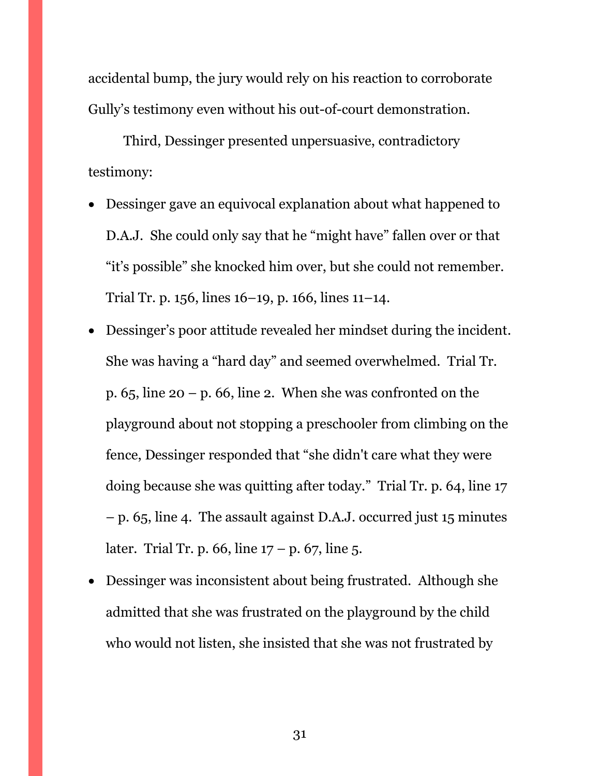accidental bump, the jury would rely on his reaction to corroborate Gully's testimony even without his out-of-court demonstration.

Third, Dessinger presented unpersuasive, contradictory testimony:

- Dessinger gave an equivocal explanation about what happened to D.A.J. She could only say that he "might have" fallen over or that "it's possible" she knocked him over, but she could not remember. Trial Tr. p. 156, lines 16–19, p. 166, lines 11–14.
- Dessinger's poor attitude revealed her mindset during the incident. She was having a "hard day" and seemed overwhelmed. Trial Tr. p.  $65$ , line  $20 - p$ . 66, line 2. When she was confronted on the playground about not stopping a preschooler from climbing on the fence, Dessinger responded that "she didn't care what they were doing because she was quitting after today." Trial Tr. p. 64, line 17 – p. 65, line 4. The assault against D.A.J. occurred just 15 minutes later. Trial Tr. p. 66, line  $17 - p$ . 67, line 5.
- Dessinger was inconsistent about being frustrated. Although she admitted that she was frustrated on the playground by the child who would not listen, she insisted that she was not frustrated by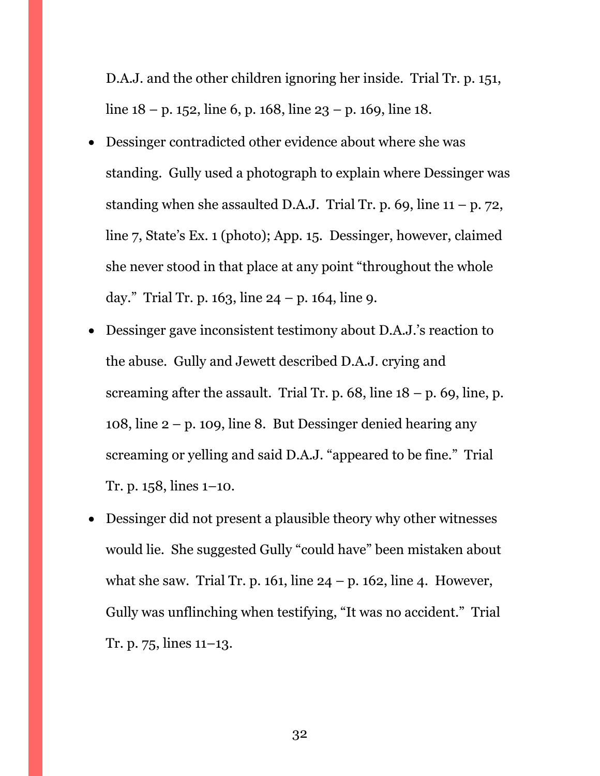D.A.J. and the other children ignoring her inside. Trial Tr. p. 151, line  $18 - p$ . 152, line 6, p. 168, line  $23 - p$ . 169, line 18.

- Dessinger contradicted other evidence about where she was standing. Gully used a photograph to explain where Dessinger was standing when she assaulted D.A.J. Trial Tr. p. 69, line  $11 - p$ . 72, line 7, State's Ex. 1 (photo); App. 15. Dessinger, however, claimed she never stood in that place at any point "throughout the whole day." Trial Tr. p. 163, line  $24 - p$ . 164, line 9.
- Dessinger gave inconsistent testimony about D.A.J.'s reaction to the abuse. Gully and Jewett described D.A.J. crying and screaming after the assault. Trial Tr. p.  $68$ , line  $18 - p$ .  $69$ , line, p. 108, line 2 – p. 109, line 8. But Dessinger denied hearing any screaming or yelling and said D.A.J. "appeared to be fine." Trial Tr. p. 158, lines 1–10.
- Dessinger did not present a plausible theory why other witnesses would lie. She suggested Gully "could have" been mistaken about what she saw. Trial Tr. p. 161, line  $24 - p$ . 162, line 4. However, Gully was unflinching when testifying, "It was no accident." Trial Tr. p. 75, lines 11–13.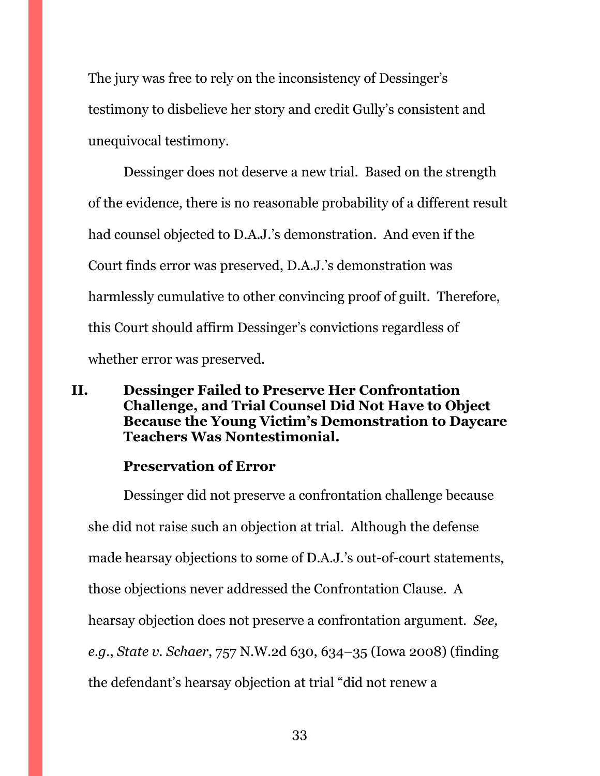The jury was free to rely on the inconsistency of Dessinger's testimony to disbelieve her story and credit Gully's consistent and unequivocal testimony.

Dessinger does not deserve a new trial. Based on the strength of the evidence, there is no reasonable probability of a different result had counsel objected to D.A.J.'s demonstration. And even if the Court finds error was preserved, D.A.J.'s demonstration was harmlessly cumulative to other convincing proof of guilt. Therefore, this Court should affirm Dessinger's convictions regardless of whether error was preserved.

### <span id="page-32-0"></span>**II. Dessinger Failed to Preserve Her Confrontation Challenge, and Trial Counsel Did Not Have to Object Because the Young Victim's Demonstration to Daycare Teachers Was Nontestimonial.**

### **Preservation of Error**

Dessinger did not preserve a confrontation challenge because she did not raise such an objection at trial. Although the defense made hearsay objections to some of D.A.J.'s out-of-court statements, those objections never addressed the Confrontation Clause. A hearsay objection does not preserve a confrontation argument. *See, e.g.*, *State v. Schaer*, 757 N.W.2d 630, 634–35 (Iowa 2008) (finding the defendant's hearsay objection at trial "did not renew a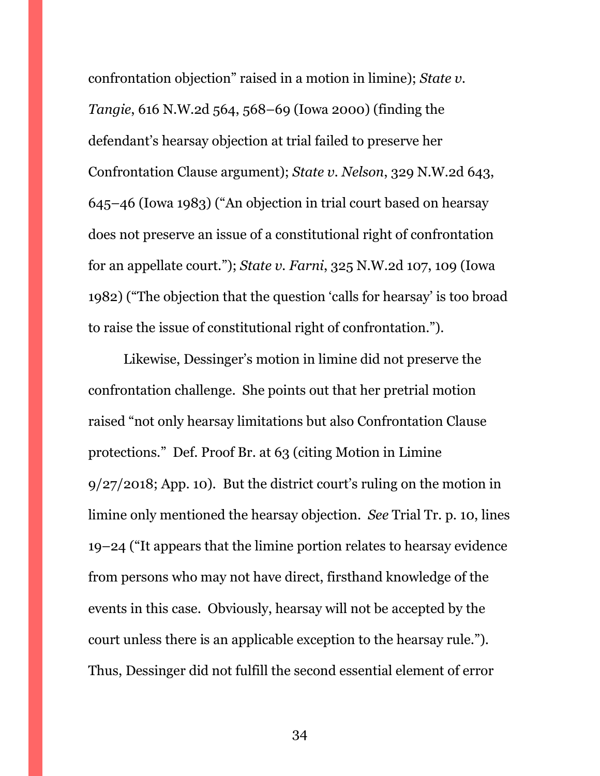confrontation objection" raised in a motion in limine); *State v. Tangie*, 616 N.W.2d 564, 568–69 (Iowa 2000) (finding the defendant's hearsay objection at trial failed to preserve her Confrontation Clause argument); *State v. Nelson*, 329 N.W.2d 643, 645–46 (Iowa 1983) ("An objection in trial court based on hearsay does not preserve an issue of a constitutional right of confrontation for an appellate court."); *State v. Farni*, 325 N.W.2d 107, 109 (Iowa 1982) ("The objection that the question 'calls for hearsay' is too broad to raise the issue of constitutional right of confrontation.").

Likewise, Dessinger's motion in limine did not preserve the confrontation challenge. She points out that her pretrial motion raised "not only hearsay limitations but also Confrontation Clause protections." Def. Proof Br. at 63 (citing Motion in Limine 9/27/2018; App. 10). But the district court's ruling on the motion in limine only mentioned the hearsay objection. *See* Trial Tr. p. 10, lines 19–24 ("It appears that the limine portion relates to hearsay evidence from persons who may not have direct, firsthand knowledge of the events in this case. Obviously, hearsay will not be accepted by the court unless there is an applicable exception to the hearsay rule."). Thus, Dessinger did not fulfill the second essential element of error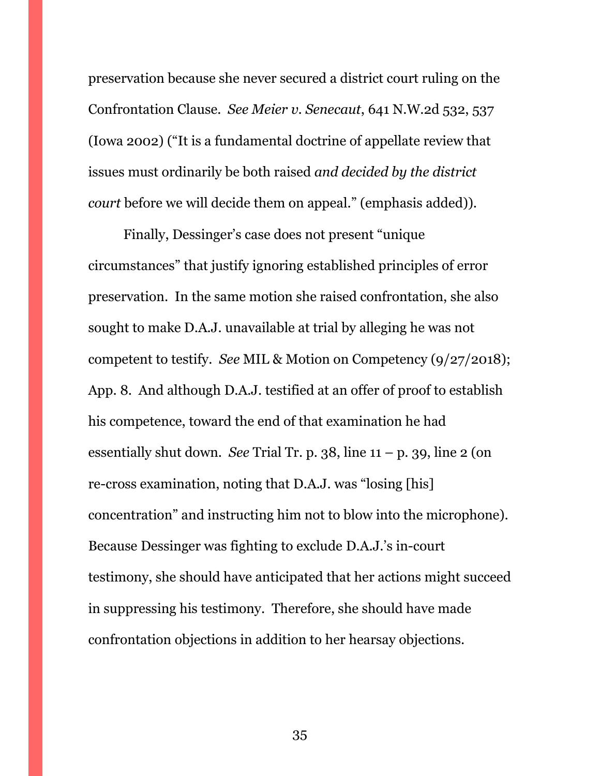preservation because she never secured a district court ruling on the Confrontation Clause. *See Meier v. Senecaut*, 641 N.W.2d 532, 537 (Iowa 2002) ("It is a fundamental doctrine of appellate review that issues must ordinarily be both raised *and decided by the district court* before we will decide them on appeal." (emphasis added)).

Finally, Dessinger's case does not present "unique circumstances" that justify ignoring established principles of error preservation. In the same motion she raised confrontation, she also sought to make D.A.J. unavailable at trial by alleging he was not competent to testify. *See* MIL & Motion on Competency (9/27/2018); App. 8. And although D.A.J. testified at an offer of proof to establish his competence, toward the end of that examination he had essentially shut down. *See* Trial Tr. p. 38, line 11 – p. 39, line 2 (on re-cross examination, noting that D.A.J. was "losing [his] concentration" and instructing him not to blow into the microphone). Because Dessinger was fighting to exclude D.A.J.'s in-court testimony, she should have anticipated that her actions might succeed in suppressing his testimony. Therefore, she should have made confrontation objections in addition to her hearsay objections.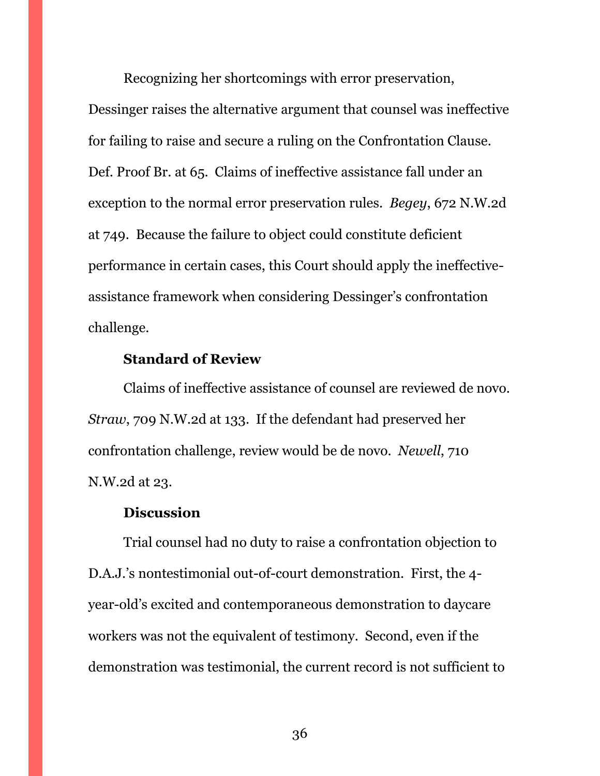Recognizing her shortcomings with error preservation, Dessinger raises the alternative argument that counsel was ineffective for failing to raise and secure a ruling on the Confrontation Clause. Def. Proof Br. at 65. Claims of ineffective assistance fall under an exception to the normal error preservation rules. *Begey*, 672 N.W.2d at 749. Because the failure to object could constitute deficient performance in certain cases, this Court should apply the ineffectiveassistance framework when considering Dessinger's confrontation challenge.

### **Standard of Review**

Claims of ineffective assistance of counsel are reviewed de novo. *Straw*, 709 N.W.2d at 133. If the defendant had preserved her confrontation challenge, review would be de novo. *Newell*, 710 N.W.2d at 23.

#### **Discussion**

Trial counsel had no duty to raise a confrontation objection to D.A.J.'s nontestimonial out-of-court demonstration. First, the 4 year-old's excited and contemporaneous demonstration to daycare workers was not the equivalent of testimony. Second, even if the demonstration was testimonial, the current record is not sufficient to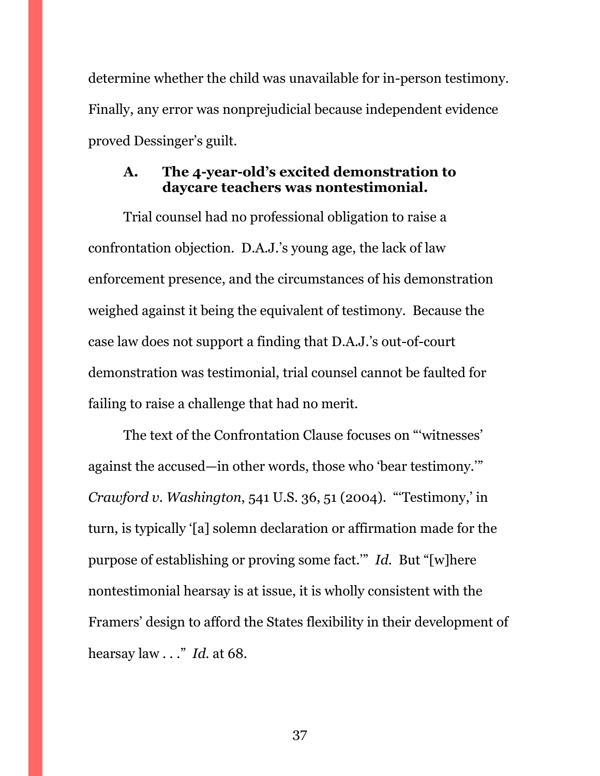determine whether the child was unavailable for in-person testimony. Finally, any error was nonprejudicial because independent evidence proved Dessinger's guilt.

### <span id="page-36-0"></span>**A. The 4-year-old's excited demonstration to daycare teachers was nontestimonial.**

Trial counsel had no professional obligation to raise a confrontation objection. D.A.J.'s young age, the lack of law enforcement presence, and the circumstances of his demonstration weighed against it being the equivalent of testimony. Because the case law does not support a finding that D.A.J.'s out-of-court demonstration was testimonial, trial counsel cannot be faulted for failing to raise a challenge that had no merit.

The text of the Confrontation Clause focuses on "'witnesses' against the accused—in other words, those who 'bear testimony.'" *Crawford v. Washington*, 541 U.S. 36, 51 (2004). "'Testimony,' in turn, is typically '[a] solemn declaration or affirmation made for the purpose of establishing or proving some fact.'" *Id.* But "[w]here nontestimonial hearsay is at issue, it is wholly consistent with the Framers' design to afford the States flexibility in their development of hearsay law . . ." *Id.* at 68.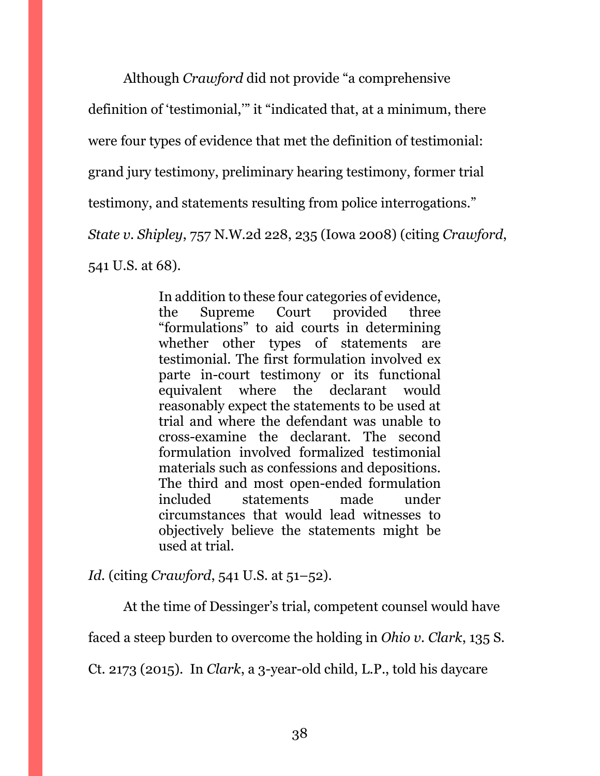Although *Crawford* did not provide "a comprehensive

definition of 'testimonial,'" it "indicated that, at a minimum, there

were four types of evidence that met the definition of testimonial:

grand jury testimony, preliminary hearing testimony, former trial

testimony, and statements resulting from police interrogations."

*State v. Shipley*, 757 N.W.2d 228, 235 (Iowa 2008) (citing *Crawford*,

541 U.S. at 68).

In addition to these four categories of evidence, the Supreme Court provided three "formulations" to aid courts in determining whether other types of statements are testimonial. The first formulation involved ex parte in-court testimony or its functional equivalent where the declarant would reasonably expect the statements to be used at trial and where the defendant was unable to cross-examine the declarant. The second formulation involved formalized testimonial materials such as confessions and depositions. The third and most open-ended formulation included statements made under circumstances that would lead witnesses to objectively believe the statements might be used at trial.

*Id.* (citing *Crawford*, 541 U.S. at 51–52).

At the time of Dessinger's trial, competent counsel would have

faced a steep burden to overcome the holding in *Ohio v. Clark*, 135 S.

Ct. 2173 (2015). In *Clark*, a 3-year-old child, L.P., told his daycare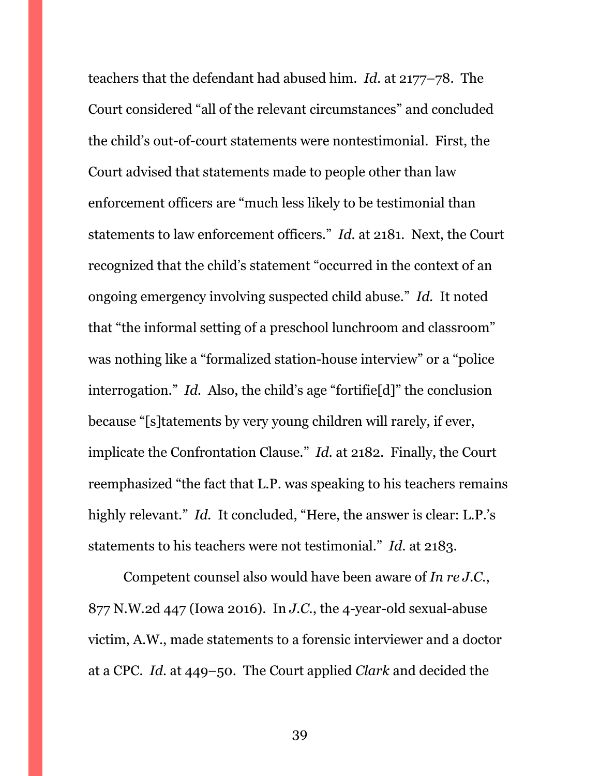teachers that the defendant had abused him. *Id.* at 2177–78. The Court considered "all of the relevant circumstances" and concluded the child's out-of-court statements were nontestimonial. First, the Court advised that statements made to people other than law enforcement officers are "much less likely to be testimonial than statements to law enforcement officers." *Id.* at 2181. Next, the Court recognized that the child's statement "occurred in the context of an ongoing emergency involving suspected child abuse." *Id.* It noted that "the informal setting of a preschool lunchroom and classroom" was nothing like a "formalized station-house interview" or a "police interrogation." *Id.* Also, the child's age "fortifie[d]" the conclusion because "[s]tatements by very young children will rarely, if ever, implicate the Confrontation Clause." *Id.* at 2182. Finally, the Court reemphasized "the fact that L.P. was speaking to his teachers remains highly relevant." *Id.* It concluded, "Here, the answer is clear: L.P.'s statements to his teachers were not testimonial." *Id.* at 2183.

Competent counsel also would have been aware of *In re J.C.*, 877 N.W.2d 447 (Iowa 2016). In *J.C.*, the 4-year-old sexual-abuse victim, A.W., made statements to a forensic interviewer and a doctor at a CPC. *Id.* at 449–50. The Court applied *Clark* and decided the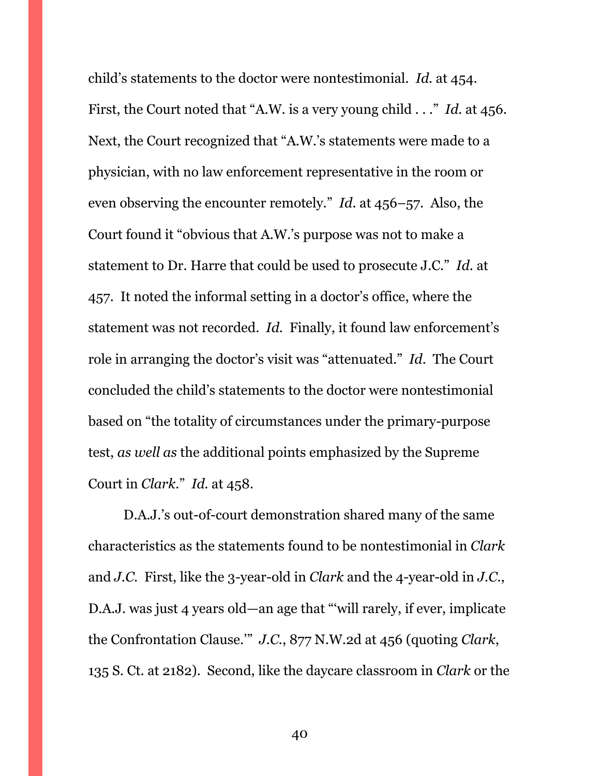child's statements to the doctor were nontestimonial. *Id.* at 454. First, the Court noted that "A.W. is a very young child . . ." *Id.* at 456. Next, the Court recognized that "A.W.'s statements were made to a physician, with no law enforcement representative in the room or even observing the encounter remotely." *Id.* at 456–57. Also, the Court found it "obvious that A.W.'s purpose was not to make a statement to Dr. Harre that could be used to prosecute J.C." *Id.* at 457. It noted the informal setting in a doctor's office, where the statement was not recorded. *Id.* Finally, it found law enforcement's role in arranging the doctor's visit was "attenuated." *Id.* The Court concluded the child's statements to the doctor were nontestimonial based on "the totality of circumstances under the primary-purpose test, *as well as* the additional points emphasized by the Supreme Court in *Clark*." *Id.* at 458.

D.A.J.'s out-of-court demonstration shared many of the same characteristics as the statements found to be nontestimonial in *Clark* and *J.C*. First, like the 3-year-old in *Clark* and the 4-year-old in *J.C.*, D.A.J. was just 4 years old—an age that "'will rarely, if ever, implicate the Confrontation Clause.'" *J.C.*, 877 N.W.2d at 456 (quoting *Clark*, 135 S. Ct. at 2182). Second, like the daycare classroom in *Clark* or the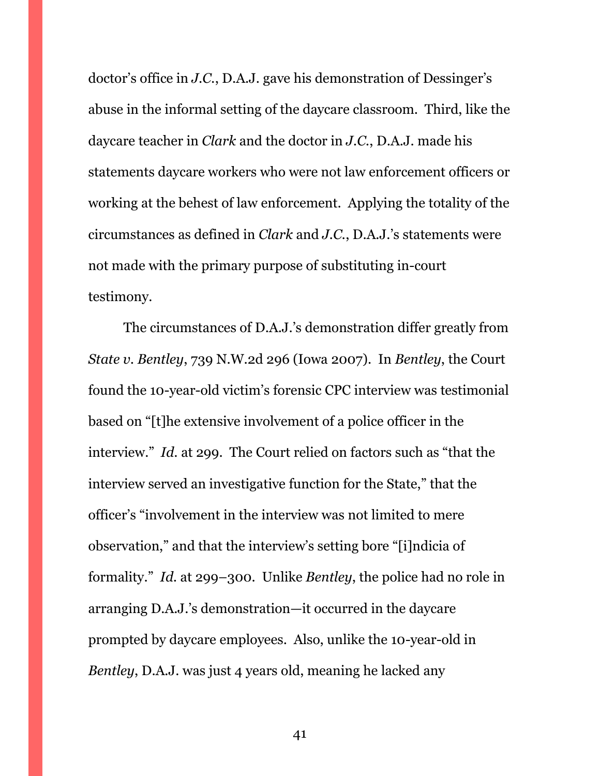doctor's office in *J.C.*, D.A.J. gave his demonstration of Dessinger's abuse in the informal setting of the daycare classroom. Third, like the daycare teacher in *Clark* and the doctor in *J.C.*, D.A.J. made his statements daycare workers who were not law enforcement officers or working at the behest of law enforcement. Applying the totality of the circumstances as defined in *Clark* and *J.C.*, D.A.J.'s statements were not made with the primary purpose of substituting in-court testimony.

The circumstances of D.A.J.'s demonstration differ greatly from *State v. Bentley*, 739 N.W.2d 296 (Iowa 2007). In *Bentley*, the Court found the 10-year-old victim's forensic CPC interview was testimonial based on "[t]he extensive involvement of a police officer in the interview." *Id.* at 299. The Court relied on factors such as "that the interview served an investigative function for the State," that the officer's "involvement in the interview was not limited to mere observation," and that the interview's setting bore "[i]ndicia of formality." *Id.* at 299–300. Unlike *Bentley*, the police had no role in arranging D.A.J.'s demonstration—it occurred in the daycare prompted by daycare employees. Also, unlike the 10-year-old in *Bentley*, D.A.J. was just 4 years old, meaning he lacked any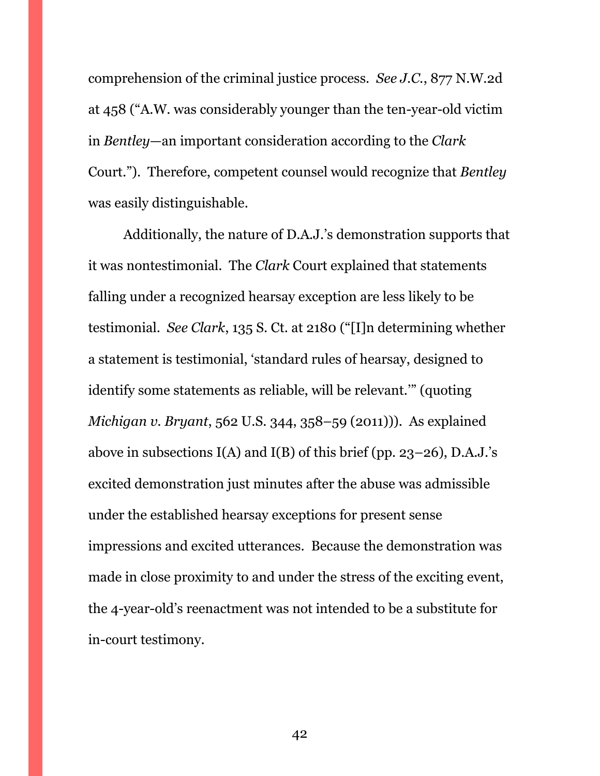comprehension of the criminal justice process. *See J.C.*, 877 N.W.2d at 458 ("A.W. was considerably younger than the ten-year-old victim in *Bentley*—an important consideration according to the *Clark* Court."). Therefore, competent counsel would recognize that *Bentley* was easily distinguishable.

Additionally, the nature of D.A.J.'s demonstration supports that it was nontestimonial. The *Clark* Court explained that statements falling under a recognized hearsay exception are less likely to be testimonial. *See Clark*, 135 S. Ct. at 2180 ("[I]n determining whether a statement is testimonial, 'standard rules of hearsay, designed to identify some statements as reliable, will be relevant.'" (quoting *Michigan v. Bryant*, 562 U.S. 344, 358–59 (2011))). As explained above in subsections  $I(A)$  and  $I(B)$  of this brief (pp. 23–26), D.A.J.'s excited demonstration just minutes after the abuse was admissible under the established hearsay exceptions for present sense impressions and excited utterances. Because the demonstration was made in close proximity to and under the stress of the exciting event, the 4-year-old's reenactment was not intended to be a substitute for in-court testimony.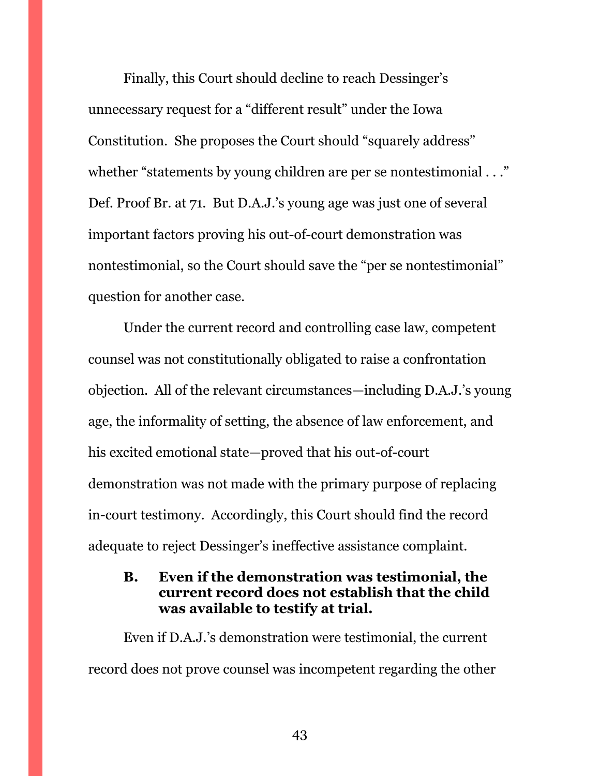Finally, this Court should decline to reach Dessinger's unnecessary request for a "different result" under the Iowa Constitution. She proposes the Court should "squarely address" whether "statements by young children are per se nontestimonial . . ." Def. Proof Br. at 71. But D.A.J.'s young age was just one of several important factors proving his out-of-court demonstration was nontestimonial, so the Court should save the "per se nontestimonial" question for another case.

Under the current record and controlling case law, competent counsel was not constitutionally obligated to raise a confrontation objection. All of the relevant circumstances—including D.A.J.'s young age, the informality of setting, the absence of law enforcement, and his excited emotional state—proved that his out-of-court demonstration was not made with the primary purpose of replacing in-court testimony. Accordingly, this Court should find the record adequate to reject Dessinger's ineffective assistance complaint.

### <span id="page-42-0"></span>**B. Even if the demonstration was testimonial, the current record does not establish that the child was available to testify at trial.**

Even if D.A.J.'s demonstration were testimonial, the current record does not prove counsel was incompetent regarding the other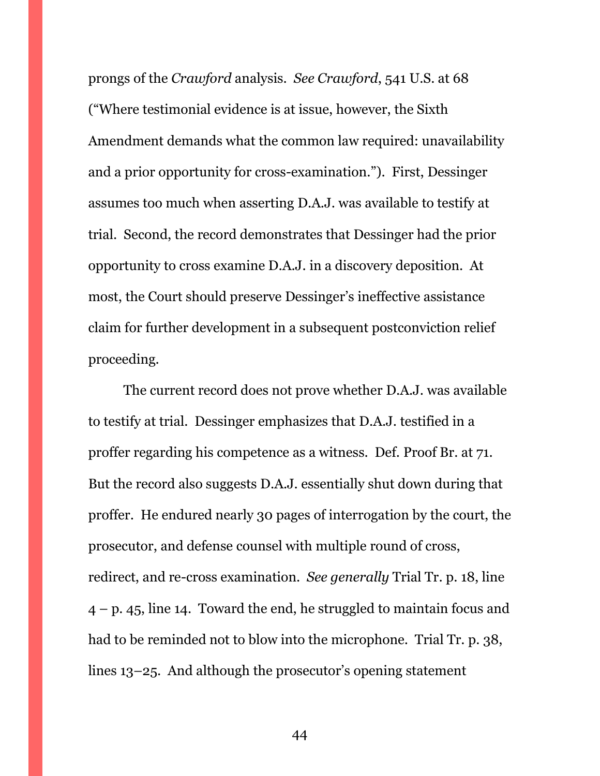prongs of the *Crawford* analysis. *See Crawford*, 541 U.S. at 68 ("Where testimonial evidence is at issue, however, the Sixth Amendment demands what the common law required: unavailability and a prior opportunity for cross-examination."). First, Dessinger assumes too much when asserting D.A.J. was available to testify at trial. Second, the record demonstrates that Dessinger had the prior opportunity to cross examine D.A.J. in a discovery deposition. At most, the Court should preserve Dessinger's ineffective assistance claim for further development in a subsequent postconviction relief proceeding.

The current record does not prove whether D.A.J. was available to testify at trial. Dessinger emphasizes that D.A.J. testified in a proffer regarding his competence as a witness. Def. Proof Br. at 71. But the record also suggests D.A.J. essentially shut down during that proffer. He endured nearly 30 pages of interrogation by the court, the prosecutor, and defense counsel with multiple round of cross, redirect, and re-cross examination. *See generally* Trial Tr. p. 18, line  $4 - p$ , 45, line 14. Toward the end, he struggled to maintain focus and had to be reminded not to blow into the microphone. Trial Tr. p. 38, lines 13–25. And although the prosecutor's opening statement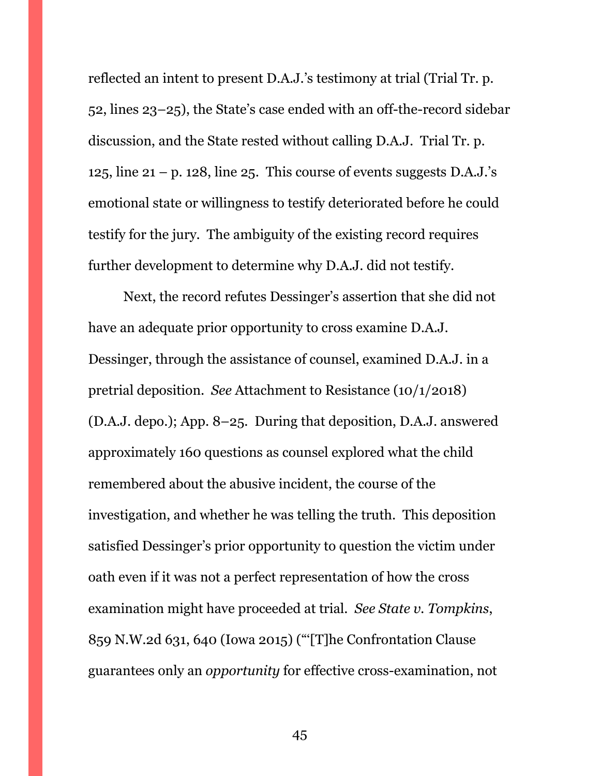reflected an intent to present D.A.J.'s testimony at trial (Trial Tr. p. 52, lines 23–25), the State's case ended with an off-the-record sidebar discussion, and the State rested without calling D.A.J. Trial Tr. p. 125, line  $21 - p$ . 128, line 25. This course of events suggests D.A.J.'s emotional state or willingness to testify deteriorated before he could testify for the jury. The ambiguity of the existing record requires further development to determine why D.A.J. did not testify.

Next, the record refutes Dessinger's assertion that she did not have an adequate prior opportunity to cross examine D.A.J. Dessinger, through the assistance of counsel, examined D.A.J. in a pretrial deposition. *See* Attachment to Resistance (10/1/2018) (D.A.J. depo.); App. 8–25. During that deposition, D.A.J. answered approximately 160 questions as counsel explored what the child remembered about the abusive incident, the course of the investigation, and whether he was telling the truth. This deposition satisfied Dessinger's prior opportunity to question the victim under oath even if it was not a perfect representation of how the cross examination might have proceeded at trial. *See State v. Tompkins*, 859 N.W.2d 631, 640 (Iowa 2015) ("'[T]he Confrontation Clause guarantees only an *opportunity* for effective cross-examination, not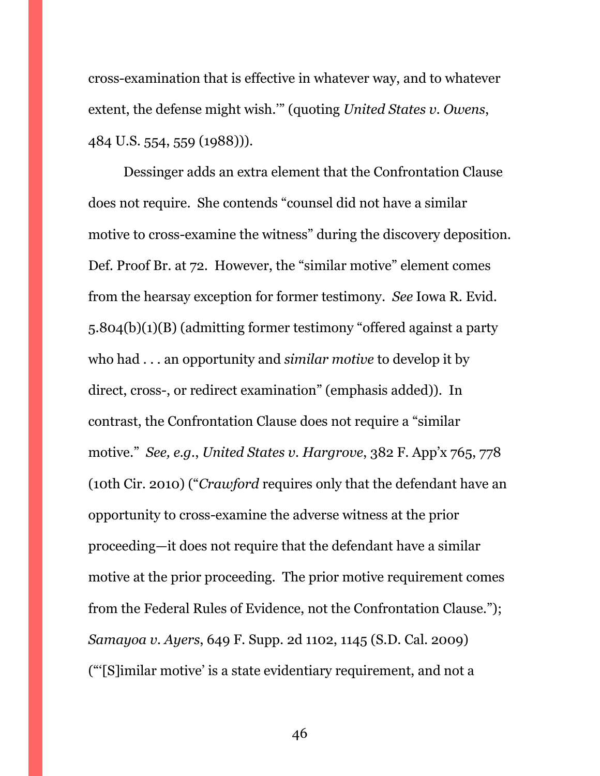cross-examination that is effective in whatever way, and to whatever extent, the defense might wish.'" (quoting *United States v. Owens*, 484 U.S. 554, 559 (1988))).

Dessinger adds an extra element that the Confrontation Clause does not require. She contends "counsel did not have a similar motive to cross-examine the witness" during the discovery deposition. Def. Proof Br. at 72. However, the "similar motive" element comes from the hearsay exception for former testimony. *See* Iowa R. Evid. 5.804(b)(1)(B) (admitting former testimony "offered against a party who had . . . an opportunity and *similar motive* to develop it by direct, cross-, or redirect examination" (emphasis added)). In contrast, the Confrontation Clause does not require a "similar motive." *See, e.g.*, *United States v. Hargrove*, 382 F. App'x 765, 778 (10th Cir. 2010) ("*Crawford* requires only that the defendant have an opportunity to cross-examine the adverse witness at the prior proceeding—it does not require that the defendant have a similar motive at the prior proceeding. The prior motive requirement comes from the Federal Rules of Evidence, not the Confrontation Clause."); *Samayoa v. Ayers*, 649 F. Supp. 2d 1102, 1145 (S.D. Cal. 2009) ("'[S]imilar motive' is a state evidentiary requirement, and not a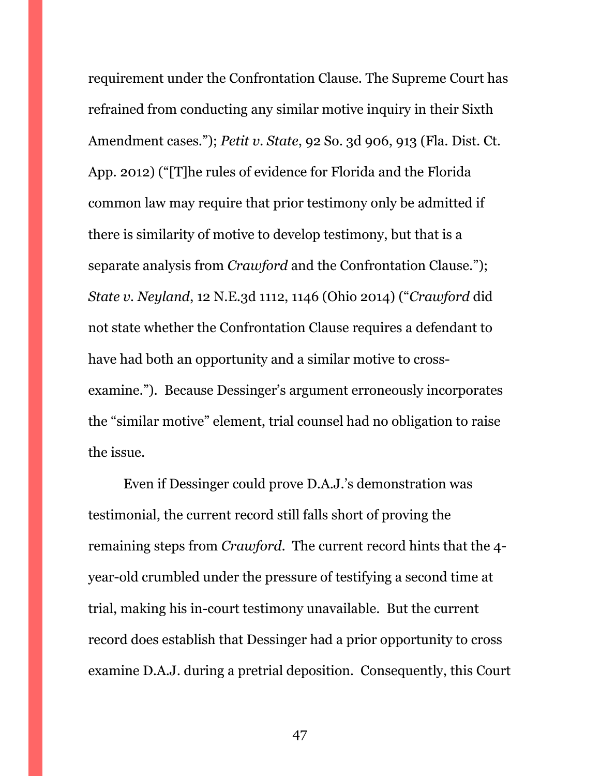requirement under the Confrontation Clause. The Supreme Court has refrained from conducting any similar motive inquiry in their Sixth Amendment cases."); *Petit v. State*, 92 So. 3d 906, 913 (Fla. Dist. Ct. App. 2012) ("[T]he rules of evidence for Florida and the Florida common law may require that prior testimony only be admitted if there is similarity of motive to develop testimony, but that is a separate analysis from *Crawford* and the Confrontation Clause."); *State v. Neyland*, 12 N.E.3d 1112, 1146 (Ohio 2014) ("*Crawford* did not state whether the Confrontation Clause requires a defendant to have had both an opportunity and a similar motive to crossexamine."). Because Dessinger's argument erroneously incorporates the "similar motive" element, trial counsel had no obligation to raise the issue.

Even if Dessinger could prove D.A.J.'s demonstration was testimonial, the current record still falls short of proving the remaining steps from *Crawford*. The current record hints that the 4 year-old crumbled under the pressure of testifying a second time at trial, making his in-court testimony unavailable. But the current record does establish that Dessinger had a prior opportunity to cross examine D.A.J. during a pretrial deposition. Consequently, this Court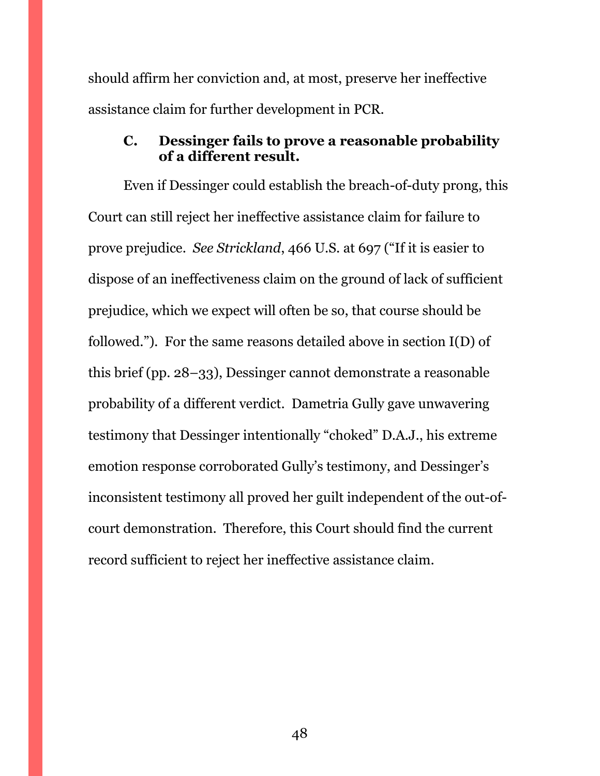should affirm her conviction and, at most, preserve her ineffective assistance claim for further development in PCR.

### <span id="page-47-0"></span>**C. Dessinger fails to prove a reasonable probability of a different result.**

Even if Dessinger could establish the breach-of-duty prong, this Court can still reject her ineffective assistance claim for failure to prove prejudice. *See Strickland*, 466 U.S. at 697 ("If it is easier to dispose of an ineffectiveness claim on the ground of lack of sufficient prejudice, which we expect will often be so, that course should be followed."). For the same reasons detailed above in section I(D) of this brief (pp. 28–33), Dessinger cannot demonstrate a reasonable probability of a different verdict. Dametria Gully gave unwavering testimony that Dessinger intentionally "choked" D.A.J., his extreme emotion response corroborated Gully's testimony, and Dessinger's inconsistent testimony all proved her guilt independent of the out-ofcourt demonstration. Therefore, this Court should find the current record sufficient to reject her ineffective assistance claim.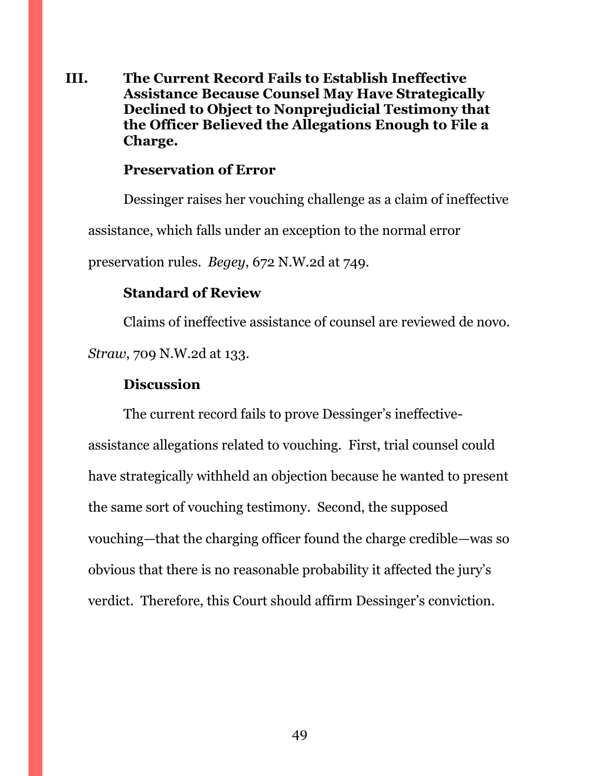<span id="page-48-0"></span>**III. The Current Record Fails to Establish Ineffective Assistance Because Counsel May Have Strategically Declined to Object to Nonprejudicial Testimony that the Officer Believed the Allegations Enough to File a Charge.**

### **Preservation of Error**

Dessinger raises her vouching challenge as a claim of ineffective assistance, which falls under an exception to the normal error preservation rules. *Begey*, 672 N.W.2d at 749.

#### **Standard of Review**

Claims of ineffective assistance of counsel are reviewed de novo. *Straw*, 709 N.W.2d at 133.

### **Discussion**

The current record fails to prove Dessinger's ineffectiveassistance allegations related to vouching. First, trial counsel could have strategically withheld an objection because he wanted to present the same sort of vouching testimony. Second, the supposed vouching—that the charging officer found the charge credible—was so obvious that there is no reasonable probability it affected the jury's verdict. Therefore, this Court should affirm Dessinger's conviction.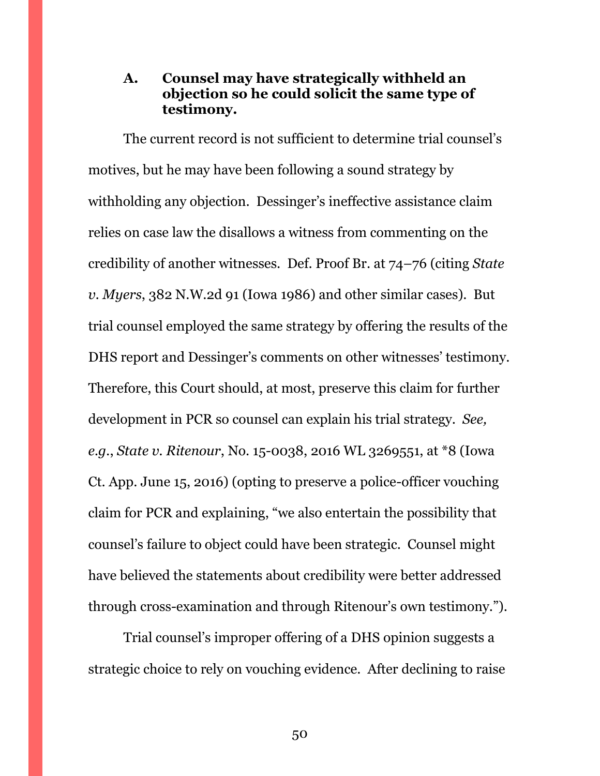### <span id="page-49-0"></span>**A. Counsel may have strategically withheld an objection so he could solicit the same type of testimony.**

The current record is not sufficient to determine trial counsel's motives, but he may have been following a sound strategy by withholding any objection. Dessinger's ineffective assistance claim relies on case law the disallows a witness from commenting on the credibility of another witnesses. Def. Proof Br. at 74–76 (citing *State v. Myers*, 382 N.W.2d 91 (Iowa 1986) and other similar cases). But trial counsel employed the same strategy by offering the results of the DHS report and Dessinger's comments on other witnesses' testimony. Therefore, this Court should, at most, preserve this claim for further development in PCR so counsel can explain his trial strategy. *See, e.g.*, *State v. Ritenour*, No. 15-0038, 2016 WL 3269551, at \*8 (Iowa Ct. App. June 15, 2016) (opting to preserve a police-officer vouching claim for PCR and explaining, "we also entertain the possibility that counsel's failure to object could have been strategic. Counsel might have believed the statements about credibility were better addressed through cross-examination and through Ritenour's own testimony.").

Trial counsel's improper offering of a DHS opinion suggests a strategic choice to rely on vouching evidence. After declining to raise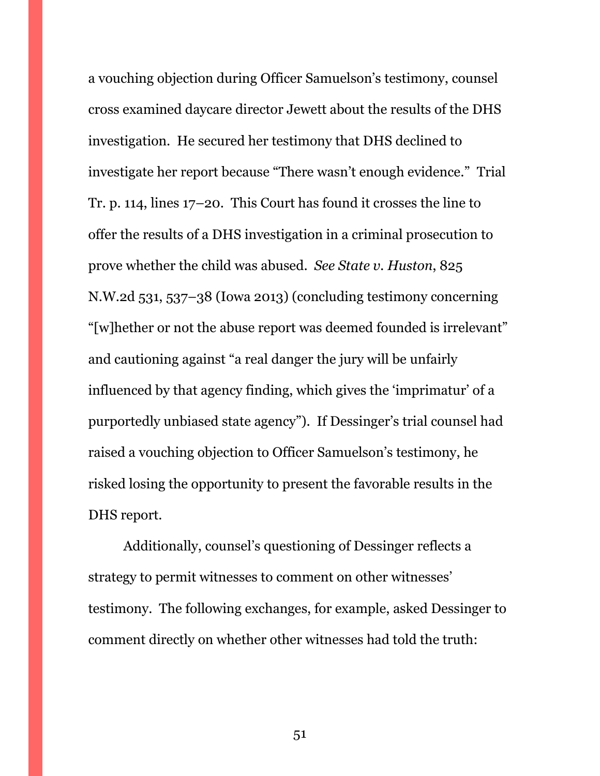a vouching objection during Officer Samuelson's testimony, counsel cross examined daycare director Jewett about the results of the DHS investigation. He secured her testimony that DHS declined to investigate her report because "There wasn't enough evidence." Trial Tr. p. 114, lines 17–20. This Court has found it crosses the line to offer the results of a DHS investigation in a criminal prosecution to prove whether the child was abused. *See State v. Huston*, 825 N.W.2d 531, 537–38 (Iowa 2013) (concluding testimony concerning "[w]hether or not the abuse report was deemed founded is irrelevant" and cautioning against "a real danger the jury will be unfairly influenced by that agency finding, which gives the 'imprimatur' of a purportedly unbiased state agency"). If Dessinger's trial counsel had raised a vouching objection to Officer Samuelson's testimony, he risked losing the opportunity to present the favorable results in the DHS report.

Additionally, counsel's questioning of Dessinger reflects a strategy to permit witnesses to comment on other witnesses' testimony. The following exchanges, for example, asked Dessinger to comment directly on whether other witnesses had told the truth: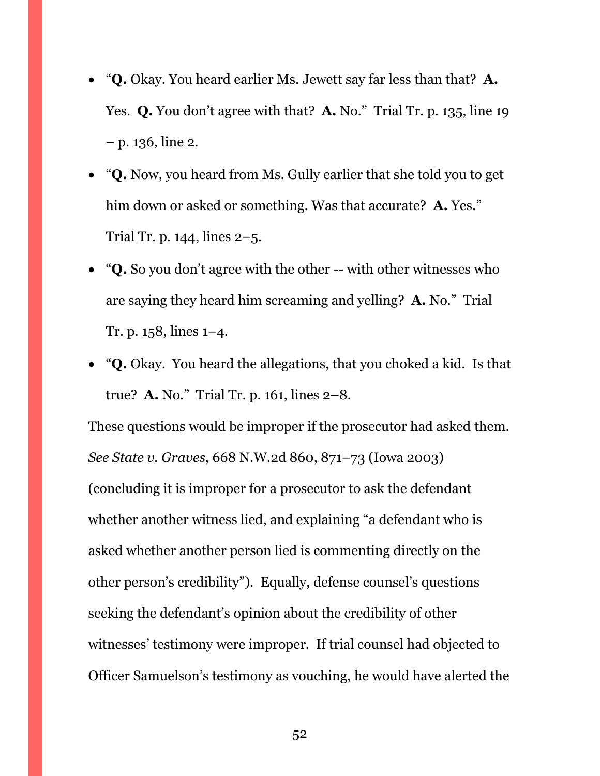- "**Q.** Okay. You heard earlier Ms. Jewett say far less than that? **A.** Yes. **Q.** You don't agree with that? **A.** No." Trial Tr. p. 135, line 19 – p. 136, line 2.
- "**Q.** Now, you heard from Ms. Gully earlier that she told you to get him down or asked or something. Was that accurate? **A.** Yes." Trial Tr. p. 144, lines 2–5.
- "**Q.** So you don't agree with the other -- with other witnesses who are saying they heard him screaming and yelling? **A.** No." Trial Tr. p. 158, lines 1–4.
- "**Q.** Okay. You heard the allegations, that you choked a kid. Is that true? **A.** No." Trial Tr. p. 161, lines 2–8.

These questions would be improper if the prosecutor had asked them. *See State v. Graves*, 668 N.W.2d 860, 871–73 (Iowa 2003) (concluding it is improper for a prosecutor to ask the defendant whether another witness lied, and explaining "a defendant who is asked whether another person lied is commenting directly on the other person's credibility"). Equally, defense counsel's questions seeking the defendant's opinion about the credibility of other witnesses' testimony were improper. If trial counsel had objected to Officer Samuelson's testimony as vouching, he would have alerted the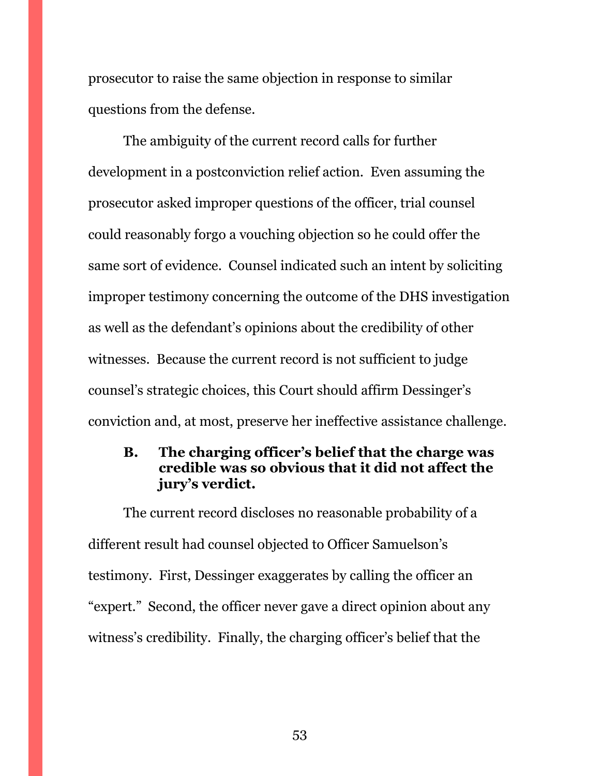prosecutor to raise the same objection in response to similar questions from the defense.

The ambiguity of the current record calls for further development in a postconviction relief action. Even assuming the prosecutor asked improper questions of the officer, trial counsel could reasonably forgo a vouching objection so he could offer the same sort of evidence. Counsel indicated such an intent by soliciting improper testimony concerning the outcome of the DHS investigation as well as the defendant's opinions about the credibility of other witnesses. Because the current record is not sufficient to judge counsel's strategic choices, this Court should affirm Dessinger's conviction and, at most, preserve her ineffective assistance challenge.

### <span id="page-52-0"></span>**B. The charging officer's belief that the charge was credible was so obvious that it did not affect the jury's verdict.**

The current record discloses no reasonable probability of a different result had counsel objected to Officer Samuelson's testimony. First, Dessinger exaggerates by calling the officer an "expert." Second, the officer never gave a direct opinion about any witness's credibility. Finally, the charging officer's belief that the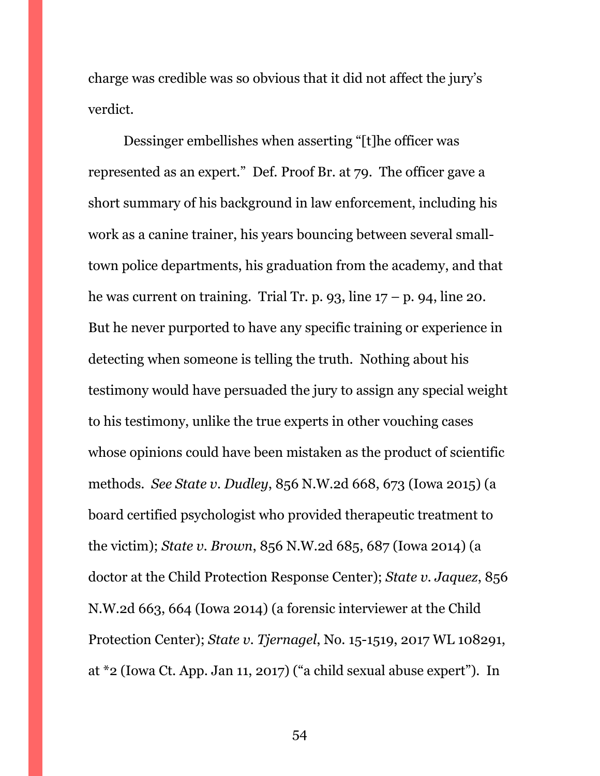charge was credible was so obvious that it did not affect the jury's verdict.

Dessinger embellishes when asserting "[t]he officer was represented as an expert." Def. Proof Br. at 79. The officer gave a short summary of his background in law enforcement, including his work as a canine trainer, his years bouncing between several smalltown police departments, his graduation from the academy, and that he was current on training. Trial Tr. p. 93, line  $17 - p$ . 94, line 20. But he never purported to have any specific training or experience in detecting when someone is telling the truth. Nothing about his testimony would have persuaded the jury to assign any special weight to his testimony, unlike the true experts in other vouching cases whose opinions could have been mistaken as the product of scientific methods. *See State v. Dudley*, 856 N.W.2d 668, 673 (Iowa 2015) (a board certified psychologist who provided therapeutic treatment to the victim); *State v. Brown*, 856 N.W.2d 685, 687 (Iowa 2014) (a doctor at the Child Protection Response Center); *State v. Jaquez*, 856 N.W.2d 663, 664 (Iowa 2014) (a forensic interviewer at the Child Protection Center); *State v. Tjernagel*, No. 15-1519, 2017 WL 108291, at \*2 (Iowa Ct. App. Jan 11, 2017) ("a child sexual abuse expert"). In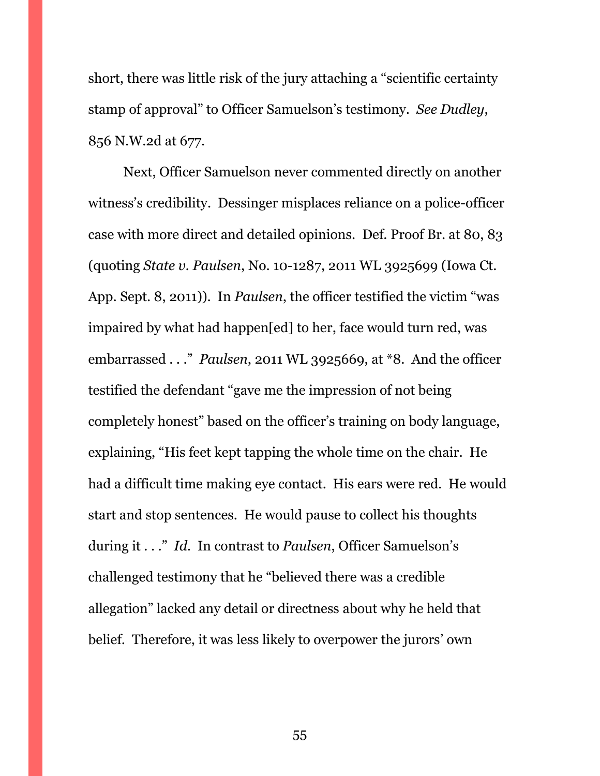short, there was little risk of the jury attaching a "scientific certainty stamp of approval" to Officer Samuelson's testimony. *See Dudley*, 856 N.W.2d at 677.

Next, Officer Samuelson never commented directly on another witness's credibility. Dessinger misplaces reliance on a police-officer case with more direct and detailed opinions. Def. Proof Br. at 80, 83 (quoting *State v. Paulsen*, No. 10-1287, 2011 WL 3925699 (Iowa Ct. App. Sept. 8, 2011)). In *Paulsen*, the officer testified the victim "was impaired by what had happen[ed] to her, face would turn red, was embarrassed . . ." *Paulsen*, 2011 WL 3925669, at \*8. And the officer testified the defendant "gave me the impression of not being completely honest" based on the officer's training on body language, explaining, "His feet kept tapping the whole time on the chair. He had a difficult time making eye contact. His ears were red. He would start and stop sentences. He would pause to collect his thoughts during it . . ." *Id.* In contrast to *Paulsen*, Officer Samuelson's challenged testimony that he "believed there was a credible allegation" lacked any detail or directness about why he held that belief. Therefore, it was less likely to overpower the jurors' own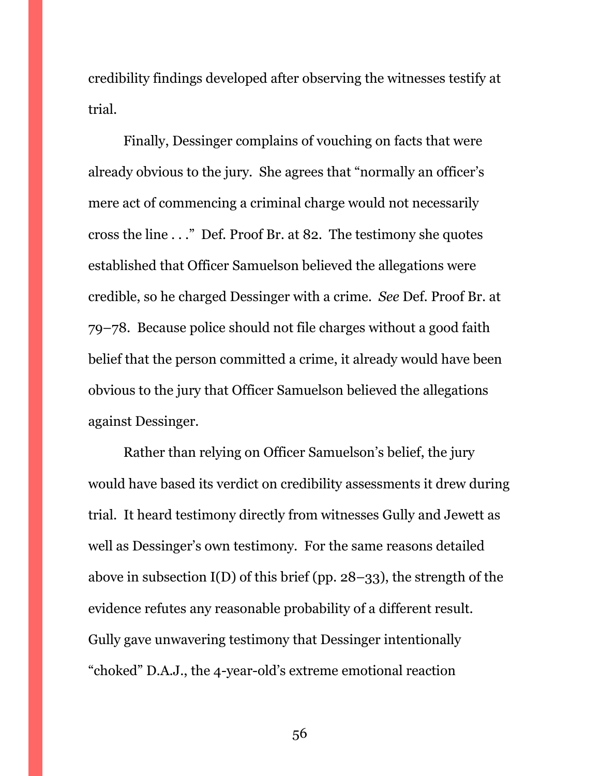credibility findings developed after observing the witnesses testify at trial.

Finally, Dessinger complains of vouching on facts that were already obvious to the jury. She agrees that "normally an officer's mere act of commencing a criminal charge would not necessarily cross the line . . ." Def. Proof Br. at 82. The testimony she quotes established that Officer Samuelson believed the allegations were credible, so he charged Dessinger with a crime. *See* Def. Proof Br. at 79–78. Because police should not file charges without a good faith belief that the person committed a crime, it already would have been obvious to the jury that Officer Samuelson believed the allegations against Dessinger.

Rather than relying on Officer Samuelson's belief, the jury would have based its verdict on credibility assessments it drew during trial. It heard testimony directly from witnesses Gully and Jewett as well as Dessinger's own testimony. For the same reasons detailed above in subsection  $I(D)$  of this brief (pp. 28–33), the strength of the evidence refutes any reasonable probability of a different result. Gully gave unwavering testimony that Dessinger intentionally "choked" D.A.J., the 4-year-old's extreme emotional reaction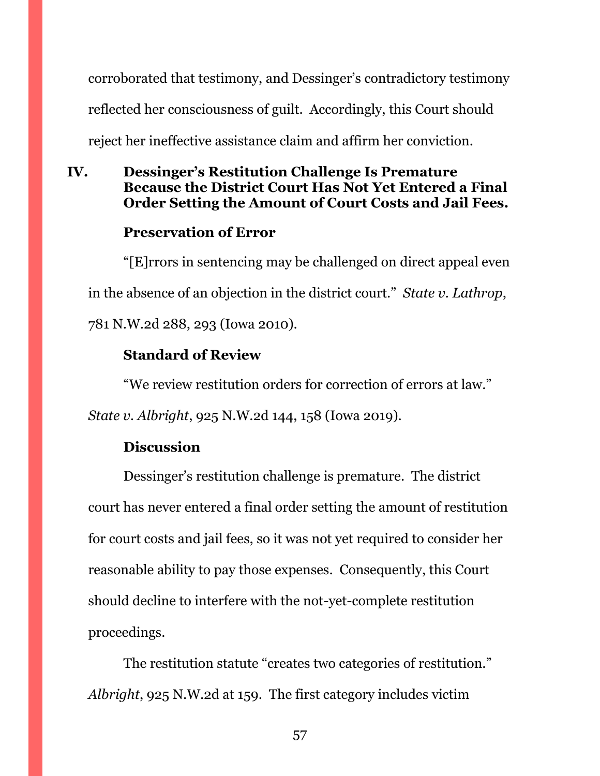corroborated that testimony, and Dessinger's contradictory testimony reflected her consciousness of guilt. Accordingly, this Court should reject her ineffective assistance claim and affirm her conviction.

# <span id="page-56-0"></span>**IV. Dessinger's Restitution Challenge Is Premature Because the District Court Has Not Yet Entered a Final Order Setting the Amount of Court Costs and Jail Fees.**

# **Preservation of Error**

"[E]rrors in sentencing may be challenged on direct appeal even in the absence of an objection in the district court." *State v. Lathrop*, 781 N.W.2d 288, 293 (Iowa 2010).

# **Standard of Review**

"We review restitution orders for correction of errors at law."

*State v. Albright*, 925 N.W.2d 144, 158 (Iowa 2019).

# **Discussion**

Dessinger's restitution challenge is premature. The district court has never entered a final order setting the amount of restitution for court costs and jail fees, so it was not yet required to consider her reasonable ability to pay those expenses. Consequently, this Court should decline to interfere with the not-yet-complete restitution proceedings.

The restitution statute "creates two categories of restitution." *Albright*, 925 N.W.2d at 159. The first category includes victim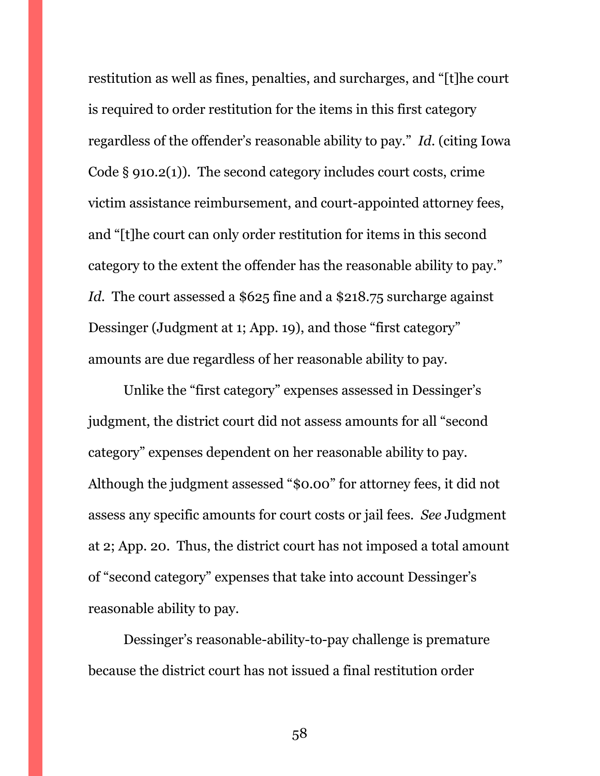restitution as well as fines, penalties, and surcharges, and "[t]he court is required to order restitution for the items in this first category regardless of the offender's reasonable ability to pay." *Id.* (citing Iowa Code § 910.2(1)). The second category includes court costs, crime victim assistance reimbursement, and court-appointed attorney fees, and "[t]he court can only order restitution for items in this second category to the extent the offender has the reasonable ability to pay." Id. The court assessed a \$625 fine and a \$218.75 surcharge against Dessinger (Judgment at 1; App. 19), and those "first category" amounts are due regardless of her reasonable ability to pay.

Unlike the "first category" expenses assessed in Dessinger's judgment, the district court did not assess amounts for all "second category" expenses dependent on her reasonable ability to pay. Although the judgment assessed "\$0.00" for attorney fees, it did not assess any specific amounts for court costs or jail fees. *See* Judgment at 2; App. 20. Thus, the district court has not imposed a total amount of "second category" expenses that take into account Dessinger's reasonable ability to pay.

Dessinger's reasonable-ability-to-pay challenge is premature because the district court has not issued a final restitution order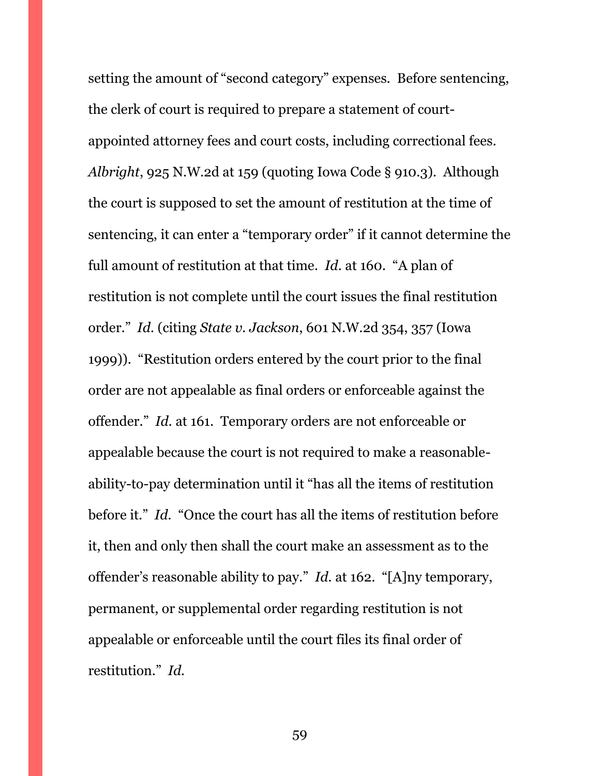setting the amount of "second category" expenses. Before sentencing, the clerk of court is required to prepare a statement of courtappointed attorney fees and court costs, including correctional fees. *Albright*, 925 N.W.2d at 159 (quoting Iowa Code § 910.3). Although the court is supposed to set the amount of restitution at the time of sentencing, it can enter a "temporary order" if it cannot determine the full amount of restitution at that time. *Id.* at 160. "A plan of restitution is not complete until the court issues the final restitution order." *Id.* (citing *State v. Jackson*, 601 N.W.2d 354, 357 (Iowa 1999)). "Restitution orders entered by the court prior to the final order are not appealable as final orders or enforceable against the offender." *Id.* at 161. Temporary orders are not enforceable or appealable because the court is not required to make a reasonableability-to-pay determination until it "has all the items of restitution before it." *Id.* "Once the court has all the items of restitution before it, then and only then shall the court make an assessment as to the offender's reasonable ability to pay." *Id.* at 162. "[A]ny temporary, permanent, or supplemental order regarding restitution is not appealable or enforceable until the court files its final order of restitution." *Id.*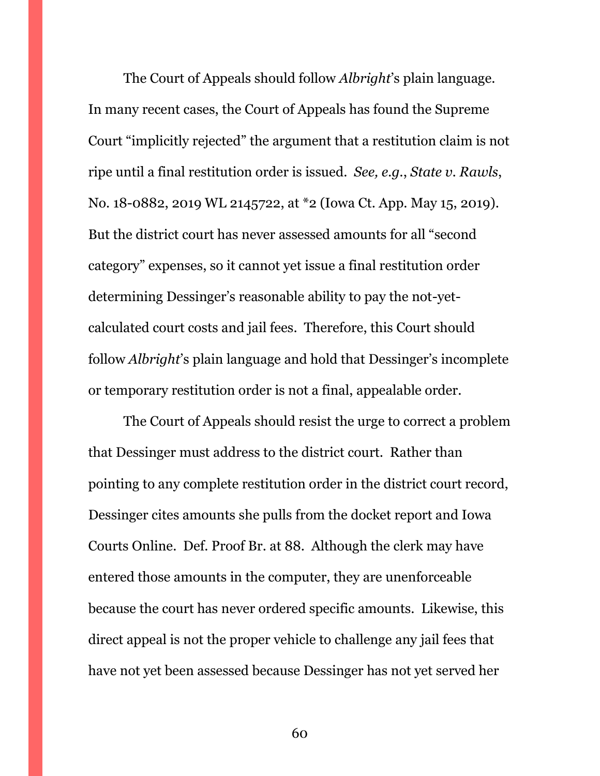The Court of Appeals should follow *Albright*'s plain language. In many recent cases, the Court of Appeals has found the Supreme Court "implicitly rejected" the argument that a restitution claim is not ripe until a final restitution order is issued. *See, e.g.*, *State v. Rawls*, No. 18-0882, 2019 WL 2145722, at \*2 (Iowa Ct. App. May 15, 2019). But the district court has never assessed amounts for all "second category" expenses, so it cannot yet issue a final restitution order determining Dessinger's reasonable ability to pay the not-yetcalculated court costs and jail fees. Therefore, this Court should follow *Albright*'s plain language and hold that Dessinger's incomplete or temporary restitution order is not a final, appealable order.

The Court of Appeals should resist the urge to correct a problem that Dessinger must address to the district court. Rather than pointing to any complete restitution order in the district court record, Dessinger cites amounts she pulls from the docket report and Iowa Courts Online. Def. Proof Br. at 88. Although the clerk may have entered those amounts in the computer, they are unenforceable because the court has never ordered specific amounts. Likewise, this direct appeal is not the proper vehicle to challenge any jail fees that have not yet been assessed because Dessinger has not yet served her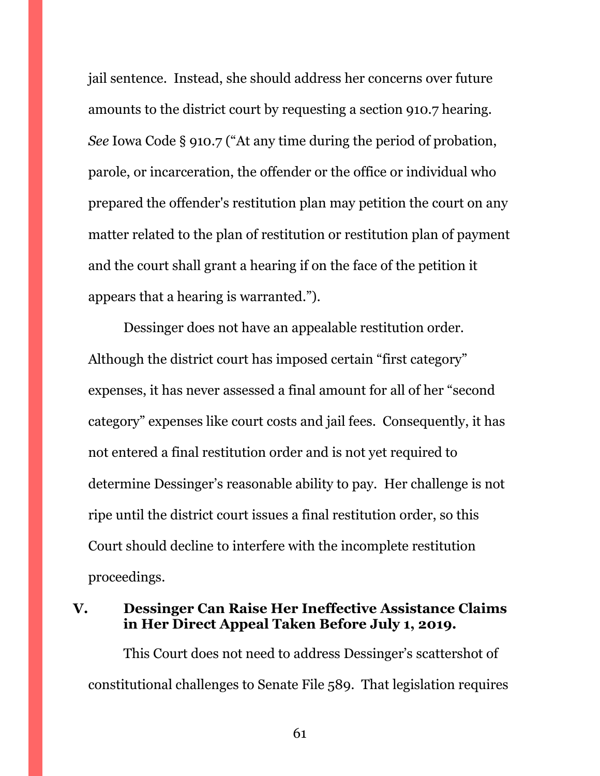jail sentence. Instead, she should address her concerns over future amounts to the district court by requesting a section 910.7 hearing. *See* Iowa Code § 910.7 ("At any time during the period of probation, parole, or incarceration, the offender or the office or individual who prepared the offender's restitution plan may petition the court on any matter related to the plan of restitution or restitution plan of payment and the court shall grant a hearing if on the face of the petition it appears that a hearing is warranted.").

Dessinger does not have an appealable restitution order. Although the district court has imposed certain "first category" expenses, it has never assessed a final amount for all of her "second category" expenses like court costs and jail fees. Consequently, it has not entered a final restitution order and is not yet required to determine Dessinger's reasonable ability to pay. Her challenge is not ripe until the district court issues a final restitution order, so this Court should decline to interfere with the incomplete restitution proceedings.

### <span id="page-60-0"></span>**V. Dessinger Can Raise Her Ineffective Assistance Claims in Her Direct Appeal Taken Before July 1, 2019.**

This Court does not need to address Dessinger's scattershot of constitutional challenges to Senate File 589. That legislation requires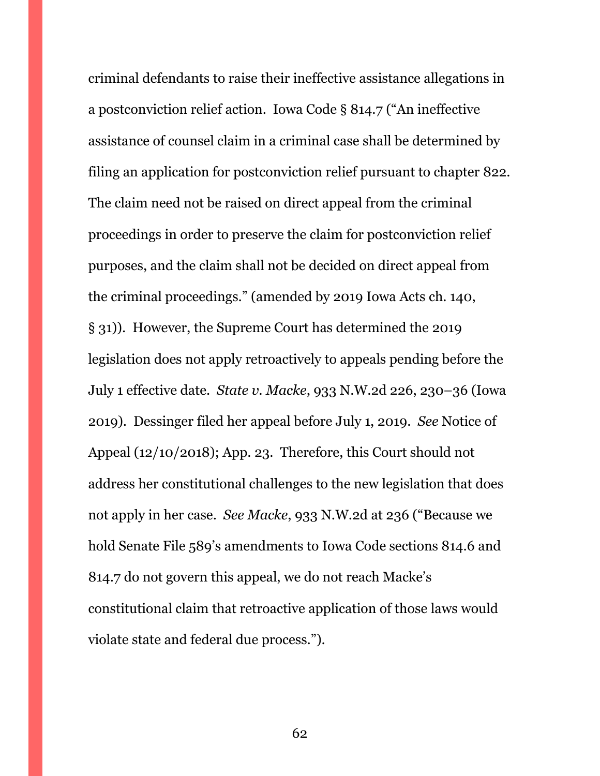criminal defendants to raise their ineffective assistance allegations in a postconviction relief action. Iowa Code § 814.7 ("An ineffective assistance of counsel claim in a criminal case shall be determined by filing an application for postconviction relief pursuant to chapter 822. The claim need not be raised on direct appeal from the criminal proceedings in order to preserve the claim for postconviction relief purposes, and the claim shall not be decided on direct appeal from the criminal proceedings." (amended by 2019 Iowa Acts ch. 140, § 31)). However, the Supreme Court has determined the 2019 legislation does not apply retroactively to appeals pending before the July 1 effective date. *State v. Macke*, 933 N.W.2d 226, 230–36 (Iowa 2019). Dessinger filed her appeal before July 1, 2019. *See* Notice of Appeal (12/10/2018); App. 23. Therefore, this Court should not address her constitutional challenges to the new legislation that does not apply in her case. *See Macke*, 933 N.W.2d at 236 ("Because we hold Senate File 589's amendments to Iowa Code sections 814.6 and 814.7 do not govern this appeal, we do not reach Macke's constitutional claim that retroactive application of those laws would violate state and federal due process.").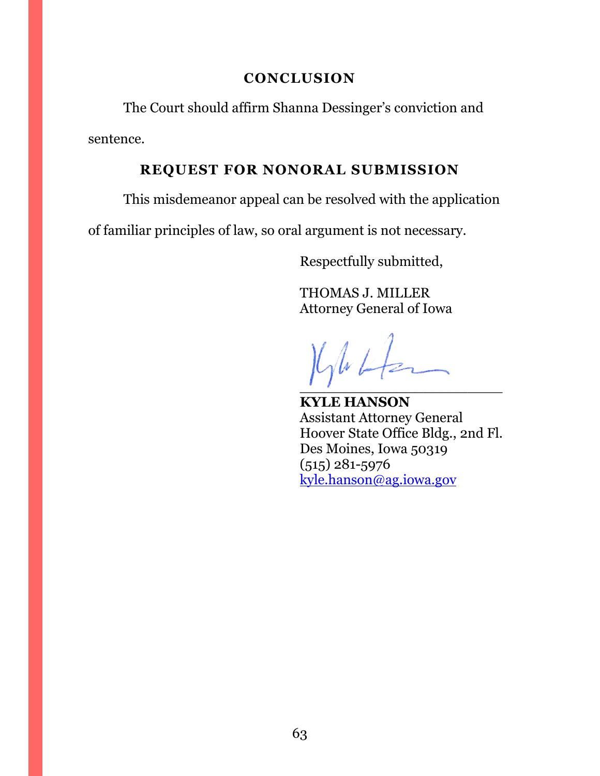### **CONCLUSION**

<span id="page-62-0"></span>The Court should affirm Shanna Dessinger's conviction and sentence.

### **REQUEST FOR NONORAL SUBMISSION**

<span id="page-62-1"></span>This misdemeanor appeal can be resolved with the application

of familiar principles of law, so oral argument is not necessary.

Respectfully submitted,

THOMAS J. MILLER Attorney General of Iowa

 $\sqrt{d}$  $\overline{\phantom{a}1}$ 

**KYLE HANSON** Assistant Attorney General Hoover State Office Bldg., 2nd Fl. Des Moines, Iowa 50319 (515) 281-5976 [kyle.hanson@ag.iowa.gov](mailto:kyle.hanson@ag.iowa.gov)